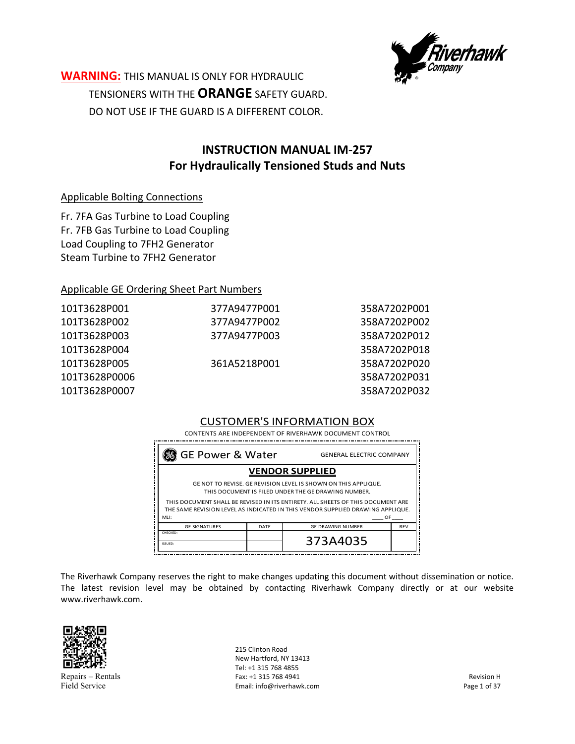

**WARNING:** THIS MANUAL IS ONLY FOR HYDRAULIC TENSIONERS WITH THE **ORANGE** SAFETY GUARD. DO NOT USE IF THE GUARD IS A DIFFERENT COLOR.

# **INSTRUCTION MANUAL IM‐257 For Hydraulically Tensioned Studs and Nuts**

#### Applicable Bolting Connections

Fr. 7FA Gas Turbine to Load Coupling Fr. 7FB Gas Turbine to Load Coupling Load Coupling to 7FH2 Generator Steam Turbine to 7FH2 Generator

#### Applicable GE Ordering Sheet Part Numbers

| 101T3628P001  | 377A9477P001 | 358A7202P001 |
|---------------|--------------|--------------|
| 101T3628P002  | 377A9477P002 | 358A7202P002 |
| 101T3628P003  | 377A9477P003 | 358A7202P012 |
| 101T3628P004  |              | 358A7202P018 |
| 101T3628P005  | 361A5218P001 | 358A7202P020 |
| 101T3628P0006 |              | 358A7202P031 |
| 101T3628P0007 |              | 358A7202P032 |
|               |              |              |

#### CUSTOMER'S INFORMATION BOX

 CONTENTS ARE INDEPENDENT OF RIVERHAWK DOCUMENT CONTROL

| <b>88</b> GE Power & Water                                                                                                                                        | <b>GENERAL ELECTRIC COMPANY</b> |                          |            |  |
|-------------------------------------------------------------------------------------------------------------------------------------------------------------------|---------------------------------|--------------------------|------------|--|
| <b>VENDOR SUPPLIED</b>                                                                                                                                            |                                 |                          |            |  |
| GE NOT TO REVISE. GE REVISION LEVEL IS SHOWN ON THIS APPLIQUE.<br>THIS DOCUMENT IS FILED UNDER THE GE DRAWING NUMBER.                                             |                                 |                          |            |  |
| THIS DOCUMENT SHALL BE REVISED IN ITS ENTIRETY. ALL SHEETS OF THIS DOCUMENT ARE<br>THE SAME REVISION LEVEL AS INDICATED IN THIS VENDOR SUPPLIED DRAWING APPLIQUE. |                                 |                          |            |  |
| MH:<br>OF.                                                                                                                                                        |                                 |                          |            |  |
| <b>GE SIGNATURES</b>                                                                                                                                              | DATF                            | <b>GE DRAWING NUMBER</b> | <b>REV</b> |  |
| CHECKED:<br>ISSUED:                                                                                                                                               |                                 | 373A4035                 |            |  |

The Riverhawk Company reserves the right to make changes updating this document without dissemination or notice. The latest revision level may be obtained by contacting Riverhawk Company directly or at our website www.riverhawk.com.



Repairs – Rentals Field Service

215 Clinton Road New Hartford, NY 13413 Tel: +1 315 768 4855 Fax: +1 315 768 4941 Email: info@riverhawk.com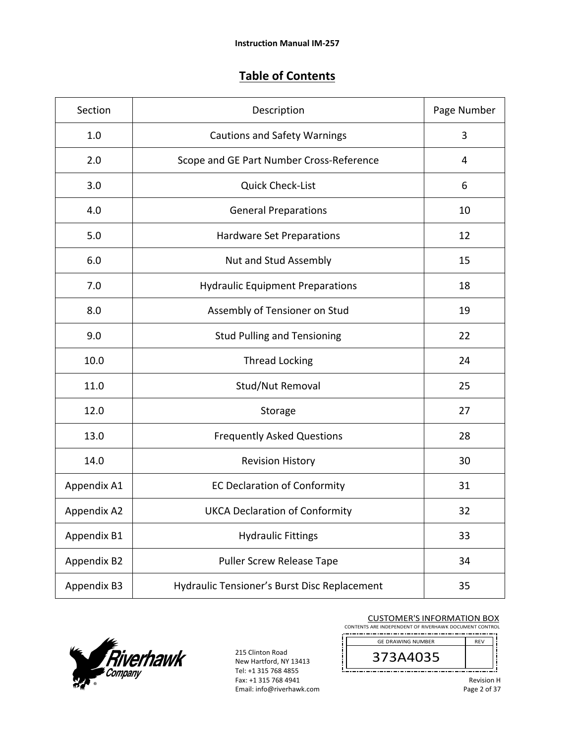# **Table of Contents**

| Section     | Description                                  | Page Number |
|-------------|----------------------------------------------|-------------|
| 1.0         | <b>Cautions and Safety Warnings</b>          | 3           |
| 2.0         | Scope and GE Part Number Cross-Reference     | 4           |
| 3.0         | <b>Quick Check-List</b>                      | 6           |
| 4.0         | <b>General Preparations</b>                  | 10          |
| 5.0         | Hardware Set Preparations                    | 12          |
| 6.0         | Nut and Stud Assembly                        | 15          |
| 7.0         | <b>Hydraulic Equipment Preparations</b>      | 18          |
| 8.0         | Assembly of Tensioner on Stud                | 19          |
| 9.0         | <b>Stud Pulling and Tensioning</b>           | 22          |
| 10.0        | <b>Thread Locking</b>                        | 24          |
| 11.0        | Stud/Nut Removal                             | 25          |
| 12.0        | Storage                                      | 27          |
| 13.0        | <b>Frequently Asked Questions</b>            | 28          |
| 14.0        | <b>Revision History</b>                      | 30          |
| Appendix A1 | <b>EC Declaration of Conformity</b>          | 31          |
| Appendix A2 | <b>UKCA Declaration of Conformity</b>        | 32          |
| Appendix B1 | <b>Hydraulic Fittings</b>                    | 33          |
| Appendix B2 | <b>Puller Screw Release Tape</b>             | 34          |
| Appendix B3 | Hydraulic Tensioner's Burst Disc Replacement | 35          |



215 Clinton Road New Hartford, NY 13413 Tel: +1 315 768 4855 Fax: +1 315 768 4941 Email: info@riverhawk.com

Į

#### CUSTOMER'S INFORMATION BOX

CONTENTS ARE INDEPENDENT OF RIVERHAWK DOCUMENT CONTROL 

GE DRAWING NUMBER REV 373A4035 \_\_\_\_\_\_\_\_\_\_\_\_\_\_\_\_\_\_\_\_\_\_\_\_\_\_\_\_\_

Revision H Page 2 of 37

j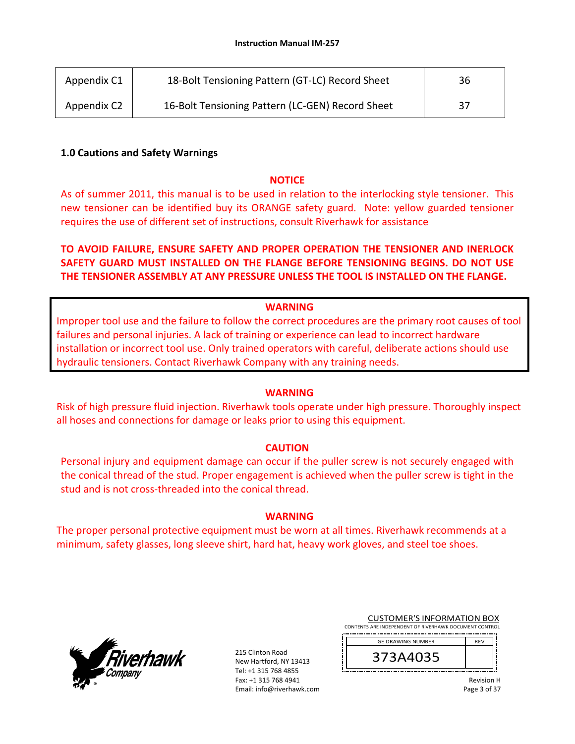| Appendix C1 | 18-Bolt Tensioning Pattern (GT-LC) Record Sheet  | 36 |
|-------------|--------------------------------------------------|----|
| Appendix C2 | 16-Bolt Tensioning Pattern (LC-GEN) Record Sheet | 37 |

#### **1.0 Cautions and Safety Warnings**

#### **NOTICE**

As of summer 2011, this manual is to be used in relation to the interlocking style tensioner. This new tensioner can be identified buy its ORANGE safety guard. Note: yellow guarded tensioner requires the use of different set of instructions, consult Riverhawk for assistance

## **TO AVOID FAILURE, ENSURE SAFETY AND PROPER OPERATION THE TENSIONER AND INERLOCK SAFETY GUARD MUST INSTALLED ON THE FLANGE BEFORE TENSIONING BEGINS. DO NOT USE THE TENSIONER ASSEMBLY AT ANY PRESSURE UNLESS THE TOOL IS INSTALLED ON THE FLANGE.**

#### **WARNING**

Improper tool use and the failure to follow the correct procedures are the primary root causes of tool failures and personal injuries. A lack of training or experience can lead to incorrect hardware installation or incorrect tool use. Only trained operators with careful, deliberate actions should use hydraulic tensioners. Contact Riverhawk Company with any training needs.

#### **WARNING**

Risk of high pressure fluid injection. Riverhawk tools operate under high pressure. Thoroughly inspect all hoses and connections for damage or leaks prior to using this equipment.

#### **CAUTION**

Personal injury and equipment damage can occur if the puller screw is not securely engaged with the conical thread of the stud. Proper engagement is achieved when the puller screw is tight in the stud and is not cross‐threaded into the conical thread.

#### **WARNING**

The proper personal protective equipment must be worn at all times. Riverhawk recommends at a minimum, safety glasses, long sleeve shirt, hard hat, heavy work gloves, and steel toe shoes.



215 Clinton Road New Hartford, NY 13413 Tel: +1 315 768 4855 Fax: +1 315 768 4941 Email: info@riverhawk.com

| <b>CUSTOMER'S INFORMATION BOX</b>                      |            |  |  |
|--------------------------------------------------------|------------|--|--|
| CONTENTS ARE INDEPENDENT OF RIVERHAWK DOCUMENT CONTROL |            |  |  |
| <b>GE DRAWING NUMBER</b>                               | <b>RFV</b> |  |  |
|                                                        |            |  |  |

373A4035

Revision H Page 3 of 37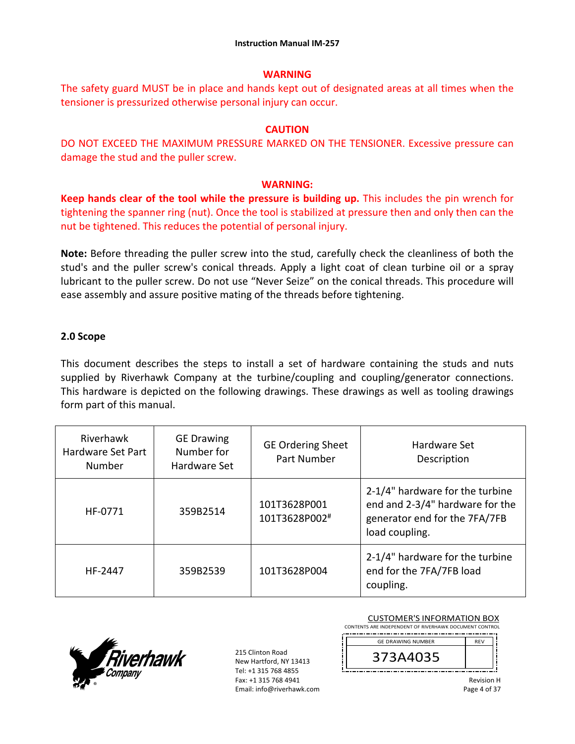#### **WARNING**

The safety guard MUST be in place and hands kept out of designated areas at all times when the tensioner is pressurized otherwise personal injury can occur.

#### **CAUTION**

DO NOT EXCEED THE MAXIMUM PRESSURE MARKED ON THE TENSIONER. Excessive pressure can damage the stud and the puller screw.

#### **WARNING:**

**Keep hands clear of the tool while the pressure is building up.** This includes the pin wrench for tightening the spanner ring (nut). Once the tool is stabilized at pressure then and only then can the nut be tightened. This reduces the potential of personal injury.

**Note:** Before threading the puller screw into the stud, carefully check the cleanliness of both the stud's and the puller screw's conical threads. Apply a light coat of clean turbine oil or a spray lubricant to the puller screw. Do not use "Never Seize" on the conical threads. This procedure will ease assembly and assure positive mating of the threads before tightening.

#### **2.0 Scope**

This document describes the steps to install a set of hardware containing the studs and nuts supplied by Riverhawk Company at the turbine/coupling and coupling/generator connections. This hardware is depicted on the following drawings. These drawings as well as tooling drawings form part of this manual.

| Riverhawk<br>Hardware Set Part<br>Number | <b>GE Drawing</b><br>Number for<br>Hardware Set | <b>GE Ordering Sheet</b><br>Part Number | Hardware Set<br>Description                                                                                           |
|------------------------------------------|-------------------------------------------------|-----------------------------------------|-----------------------------------------------------------------------------------------------------------------------|
| HF-0771                                  | 359B2514                                        | 101T3628P001<br>101T3628P002#           | 2-1/4" hardware for the turbine<br>end and 2-3/4" hardware for the<br>generator end for the 7FA/7FB<br>load coupling. |
| HF-2447                                  | 359B2539                                        | 101T3628P004                            | 2-1/4" hardware for the turbine<br>end for the 7FA/7FB load<br>coupling.                                              |



215 Clinton Road New Hartford, NY 13413 Tel: +1 315 768 4855 Fax: +1 315 768 4941 Email: info@riverhawk.com

| CONTENTS ARE INDEPENDENT OF RIVERHAWK DOCUMENT CONTROL |            |
|--------------------------------------------------------|------------|
| <b>GE DRAWING NUMBER</b>                               | <b>RFV</b> |
| 373A4035                                               |            |

CUSTOMER'S INFORMATION BOX

Revision H Page 4 of 37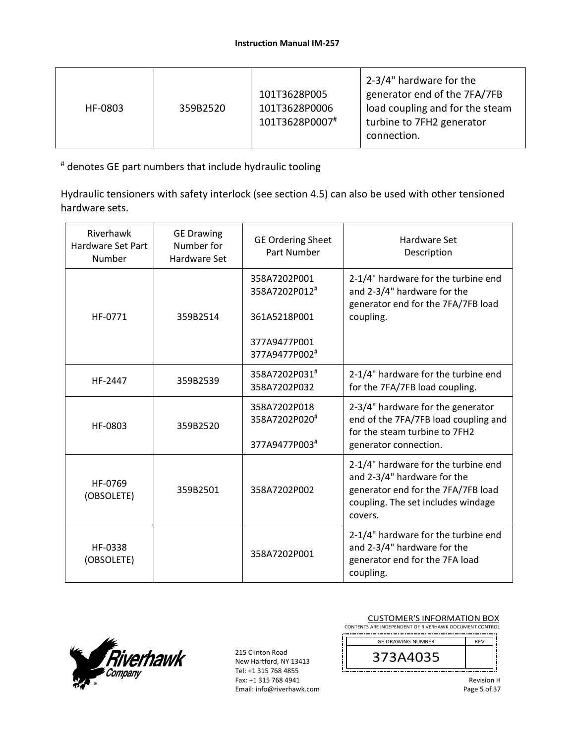| HF-0803 | 359B2520 | 101T3628P005<br>101T3628P0006<br>101T3628P0007# | 2-3/4" hardware for the<br>generator end of the 7FA/7FB<br>load coupling and for the steam<br>turbine to 7FH2 generator<br>connection. |
|---------|----------|-------------------------------------------------|----------------------------------------------------------------------------------------------------------------------------------------|
|---------|----------|-------------------------------------------------|----------------------------------------------------------------------------------------------------------------------------------------|

# denotes GE part numbers that include hydraulic tooling

Hydraulic tensioners with safety interlock (see section 4.5) can also be used with other tensioned hardware sets.

| Riverhawk<br>Hardware Set Part<br>Number | <b>GE Drawing</b><br>Number for<br><b>Hardware Set</b> | <b>GE Ordering Sheet</b><br>Part Number                                        | Hardware Set<br>Description                                                                                                                               |
|------------------------------------------|--------------------------------------------------------|--------------------------------------------------------------------------------|-----------------------------------------------------------------------------------------------------------------------------------------------------------|
| HF-0771                                  | 359B2514                                               | 358A7202P001<br>358A7202P012#<br>361A5218P001<br>377A9477P001<br>377A9477P002# | 2-1/4" hardware for the turbine end<br>and 2-3/4" hardware for the<br>generator end for the 7FA/7FB load<br>coupling.                                     |
| HF-2447                                  | 359B2539                                               | 358A7202P031#<br>358A7202P032                                                  | 2-1/4" hardware for the turbine end<br>for the 7FA/7FB load coupling.                                                                                     |
| HF-0803                                  | 359B2520                                               | 358A7202P018<br>358A7202P020#<br>377A9477P003#                                 | 2-3/4" hardware for the generator<br>end of the 7FA/7FB load coupling and<br>for the steam turbine to 7FH2<br>generator connection.                       |
| HF-0769<br>(OBSOLETE)                    | 359B2501                                               | 358A7202P002                                                                   | 2-1/4" hardware for the turbine end<br>and 2-3/4" hardware for the<br>generator end for the 7FA/7FB load<br>coupling. The set includes windage<br>covers. |
| HF-0338<br>(OBSOLETE)                    |                                                        | 358A7202P001                                                                   | 2-1/4" hardware for the turbine end<br>and 2-3/4" hardware for the<br>generator end for the 7FA load<br>coupling.                                         |



215 Clinton Road New Hartford, NY 13413 Tel: +1 315 768 4855 Fax: +1 315 768 4941 Email: info@riverhawk.com

#### CUSTOMER'S INFORMATION BOX

CONTENTS ARE INDEPENDENT OF RIVERHAWK DOCUMENT CONTROL 

| <b>GE DRAWING NUMBER</b> | <b>RFV</b> |
|--------------------------|------------|
| 373A4035                 |            |

Revision H Page 5 of 37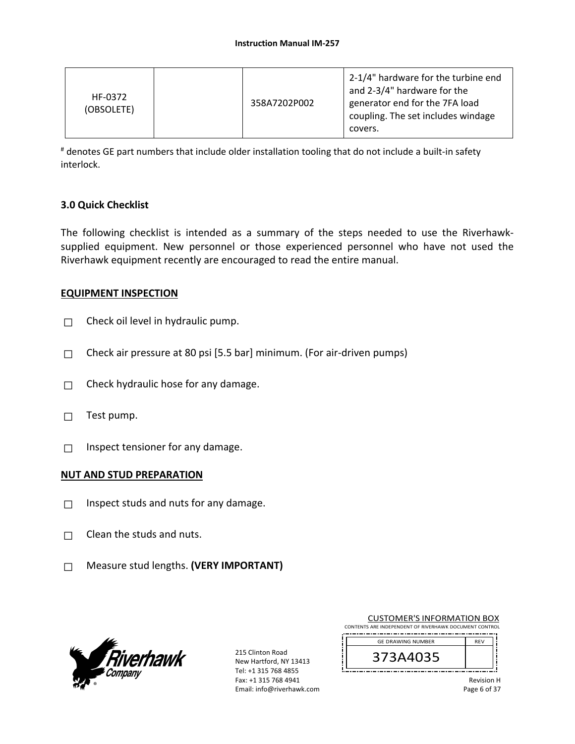| HF-0372<br>(OBSOLETE) | 358A7202P002 | 2-1/4" hardware for the turbine end<br>and 2-3/4" hardware for the<br>generator end for the 7FA load<br>coupling. The set includes windage<br>covers. |
|-----------------------|--------------|-------------------------------------------------------------------------------------------------------------------------------------------------------|
|-----------------------|--------------|-------------------------------------------------------------------------------------------------------------------------------------------------------|

# denotes GE part numbers that include older installation tooling that do not include a built‐in safety interlock.

#### **3.0 Quick Checklist**

The following checklist is intended as a summary of the steps needed to use the Riverhawk‐ supplied equipment. New personnel or those experienced personnel who have not used the Riverhawk equipment recently are encouraged to read the entire manual.

#### **EQUIPMENT INSPECTION**

- $\Box$  Check oil level in hydraulic pump.
- $\Box$  Check air pressure at 80 psi [5.5 bar] minimum. (For air-driven pumps)
- $\Box$  Check hydraulic hose for any damage.
- $\Box$  Test pump.
- $\Box$  Inspect tensioner for any damage.

#### **NUT AND STUD PREPARATION**

- $\Box$  Inspect studs and nuts for any damage.
- $\Box$  Clean the studs and nuts.
- □ Measure stud lengths. **(VERY IMPORTANT)**



215 Clinton Road New Hartford, NY 13413 Tel: +1 315 768 4855 Fax: +1 315 768 4941 Email: info@riverhawk.com

| <b>CUSTOMER'S INFORMATION BOX</b>                      |            |  |  |  |
|--------------------------------------------------------|------------|--|--|--|
| CONTENTS ARE INDEPENDENT OF RIVERHAWK DOCUMENT CONTROL |            |  |  |  |
| <b>GE DRAWING NUMBER</b>                               | <b>RFV</b> |  |  |  |

| GE DRAWING NUMBER |  |
|-------------------|--|
| 373A4035          |  |
|                   |  |

Revision H Page 6 of 37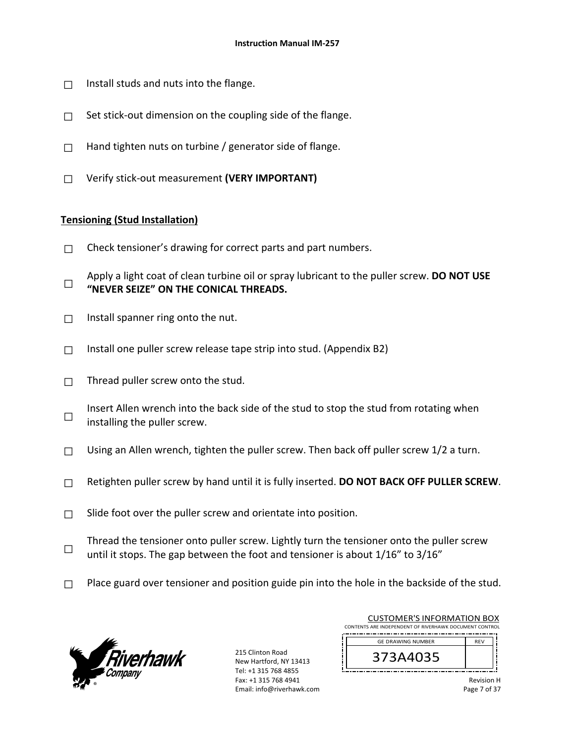- $\Box$  Install studs and nuts into the flange.
- $\Box$  Set stick-out dimension on the coupling side of the flange.
- $\Box$  Hand tighten nuts on turbine / generator side of flange.
- □ Verify stick‐out measurement **(VERY IMPORTANT)**

#### **Tensioning (Stud Installation)**

- $\Box$  Check tensioner's drawing for correct parts and part numbers.
- □ Apply a light coat of clean turbine oil or spray lubricant to the puller screw. **DO NOT USE "NEVER SEIZE" ON THE CONICAL THREADS.**
- $\Box$  Install spanner ring onto the nut.
- $\Box$  Install one puller screw release tape strip into stud. (Appendix B2)
- $\Box$  Thread puller screw onto the stud.
- □ Insert Allen wrench into the back side of the stud to stop the stud from rotating when installing the puller screw.
- $\Box$  Using an Allen wrench, tighten the puller screw. Then back off puller screw 1/2 a turn.
- □ Retighten puller screw by hand until it is fully inserted. **DO NOT BACK OFF PULLER SCREW**.
- $\Box$  Slide foot over the puller screw and orientate into position.
- □ Thread the tensioner onto puller screw. Lightly turn the tensioner onto the puller screw until it stops. The gap between the foot and tensioner is about 1/16" to 3/16"
- $\Box$  Place guard over tensioner and position guide pin into the hole in the backside of the stud.



215 Clinton Road New Hartford, NY 13413 Tel: +1 315 768 4855 Fax: +1 315 768 4941 Email: info@riverhawk.com

| <b>CUSTOMER'S INFORMATION BOX</b>                      |            |  |
|--------------------------------------------------------|------------|--|
| CONTENTS ARE INDEPENDENT OF RIVERHAWK DOCUMENT CONTROL |            |  |
| <b>GE DRAWING NUMBER</b>                               | <b>RFV</b> |  |
| 373A4035                                               |            |  |

Revision H Page 7 of 37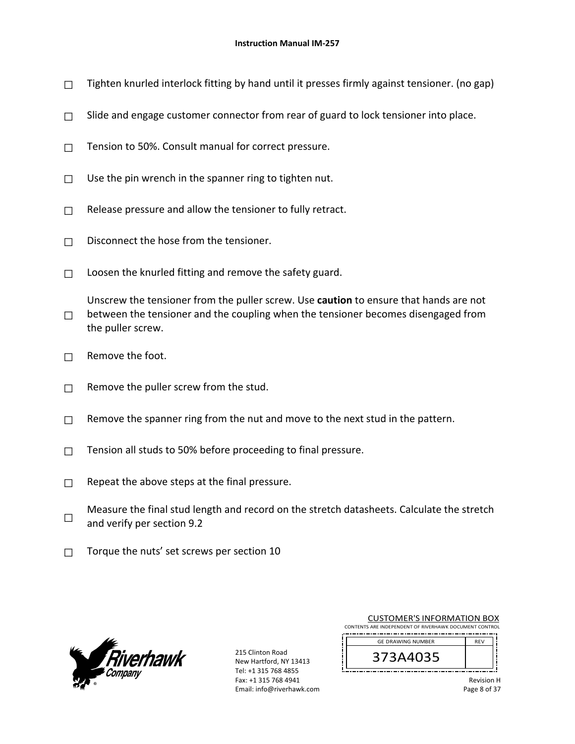- $\Box$  Tighten knurled interlock fitting by hand until it presses firmly against tensioner. (no gap)
- $\Box$  Slide and engage customer connector from rear of guard to lock tensioner into place.
- $\Box$  Tension to 50%. Consult manual for correct pressure.
- $\Box$  Use the pin wrench in the spanner ring to tighten nut.
- $\Box$  Release pressure and allow the tensioner to fully retract.
- □ Disconnect the hose from the tensioner.
- $\Box$  Loosen the knurled fitting and remove the safety guard.
- □ Unscrew the tensioner from the puller screw. Use **caution** to ensure that hands are not between the tensioner and the coupling when the tensioner becomes disengaged from the puller screw.
- $\Box$  Remove the foot.
- $\Box$  Remove the puller screw from the stud.
- $\Box$  Remove the spanner ring from the nut and move to the next stud in the pattern.
- $\Box$  Tension all studs to 50% before proceeding to final pressure.
- $\Box$  Repeat the above steps at the final pressure.
- □ Measure the final stud length and record on the stretch datasheets. Calculate the stretch and verify per section 9.2
- $\Box$  Torque the nuts' set screws per section 10



215 Clinton Road New Hartford, NY 13413 Tel: +1 315 768 4855 Fax: +1 315 768 4941 Email: info@riverhawk.com

| <b>CUSTOMER'S INFORMATION BOX</b>                      |            |  |
|--------------------------------------------------------|------------|--|
| CONTENTS ARE INDEPENDENT OF RIVERHAWK DOCUMENT CONTROL |            |  |
| <b>GE DRAWING NUMBER</b>                               | <b>RFV</b> |  |
| 373A4035                                               |            |  |

| <b>Revision H</b> |
|-------------------|
| Page 8 of 37      |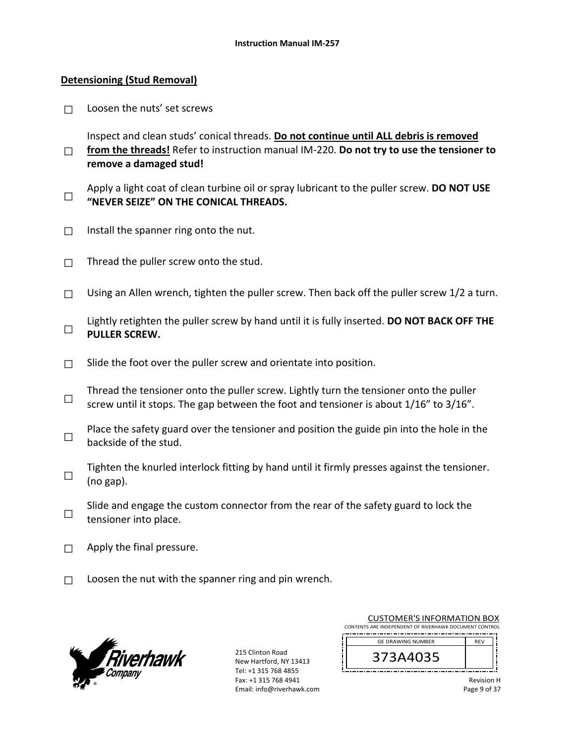#### **Detensioning (Stud Removal)**

 $\Box$  Loosen the nuts' set screws

□ Inspect and clean studs' conical threads. **Do not continue until ALL debris is removed from the threads!** Refer to instruction manual IM‐220. **Do not try to use the tensioner to remove a damaged stud!**

- □ Apply a light coat of clean turbine oil or spray lubricant to the puller screw. **DO NOT USE "NEVER SEIZE" ON THE CONICAL THREADS.**
- $\Box$  Install the spanner ring onto the nut.
- $\Box$  Thread the puller screw onto the stud.
- $\Box$  Using an Allen wrench, tighten the puller screw. Then back off the puller screw 1/2 a turn.
- □ Lightly retighten the puller screw by hand until it is fully inserted. **DO NOT BACK OFF THE PULLER SCREW.**
- $\Box$  Slide the foot over the puller screw and orientate into position.
- □ Thread the tensioner onto the puller screw. Lightly turn the tensioner onto the puller screw until it stops. The gap between the foot and tensioner is about 1/16" to 3/16".
- □ Place the safety guard over the tensioner and position the guide pin into the hole in the backside of the stud.
- □ Tighten the knurled interlock fitting by hand until it firmly presses against the tensioner. (no gap).
- □ Slide and engage the custom connector from the rear of the safety guard to lock the tensioner into place.
- $\Box$  Apply the final pressure.
- $\Box$  Loosen the nut with the spanner ring and pin wrench.



215 Clinton Road New Hartford, NY 13413 Tel: +1 315 768 4855 Fax: +1 315 768 4941 Email: info@riverhawk.com

| CUSTUMER S INFORMATION BOX                             |            |  |
|--------------------------------------------------------|------------|--|
| CONTENTS ARE INDEPENDENT OF RIVERHAWK DOCUMENT CONTROL |            |  |
| <b>GE DRAWING NUMBER</b>                               | <b>RFV</b> |  |
|                                                        |            |  |
| 373A4035                                               |            |  |

CUCTOMER'S INFORMATION BOY

| <b>Revision H</b> |
|-------------------|
| Page 9 of 37      |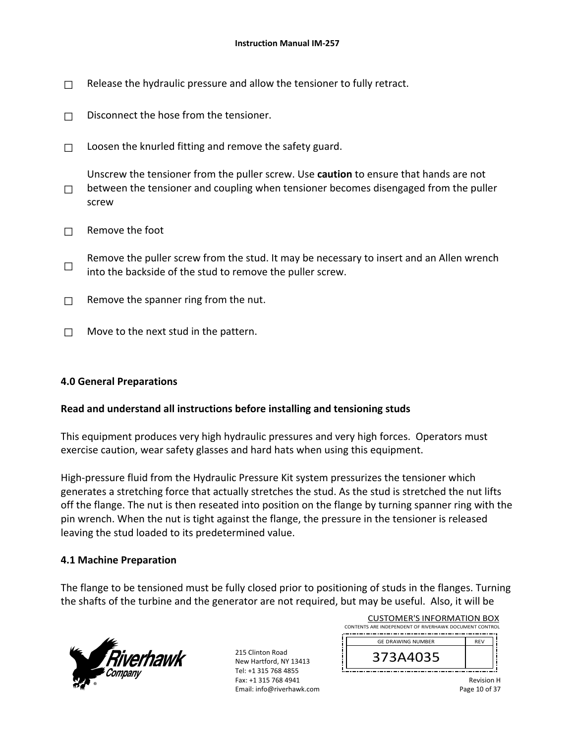- $\Box$  Release the hydraulic pressure and allow the tensioner to fully retract.
- $\Box$  Disconnect the hose from the tensioner.
- $\Box$  Loosen the knurled fitting and remove the safety guard.
- □ Unscrew the tensioner from the puller screw. Use **caution** to ensure that hands are not between the tensioner and coupling when tensioner becomes disengaged from the puller screw
- $\Box$  Remove the foot
- □ Remove the puller screw from the stud. It may be necessary to insert and an Allen wrench into the backside of the stud to remove the puller screw.
- $\Box$  Remove the spanner ring from the nut.
- $\Box$  Move to the next stud in the pattern.

#### **4.0 General Preparations**

#### **Read and understand all instructions before installing and tensioning studs**

This equipment produces very high hydraulic pressures and very high forces. Operators must exercise caution, wear safety glasses and hard hats when using this equipment.

High-pressure fluid from the Hydraulic Pressure Kit system pressurizes the tensioner which generates a stretching force that actually stretches the stud. As the stud is stretched the nut lifts off the flange. The nut is then reseated into position on the flange by turning spanner ring with the pin wrench. When the nut is tight against the flange, the pressure in the tensioner is released leaving the stud loaded to its predetermined value.

#### **4.1 Machine Preparation**

The flange to be tensioned must be fully closed prior to positioning of studs in the flanges. Turning the shafts of the turbine and the generator are not required, but may be useful. Also, it will be

ŗ



215 Clinton Road New Hartford, NY 13413 Tel: +1 315 768 4855 Fax: +1 315 768 4941 Email: info@riverhawk.com

| <b>CUSTOMER'S INFORMATION BOX</b>                      |            |  |
|--------------------------------------------------------|------------|--|
| CONTENTS ARE INDEPENDENT OF RIVERHAWK DOCUMENT CONTROL |            |  |
| <b>GE DRAWING NUMBER</b>                               | <b>RFV</b> |  |
| 373A4035                                               |            |  |
|                                                        |            |  |

| <b>Revision H</b> |  |
|-------------------|--|
| Page 10 of 37     |  |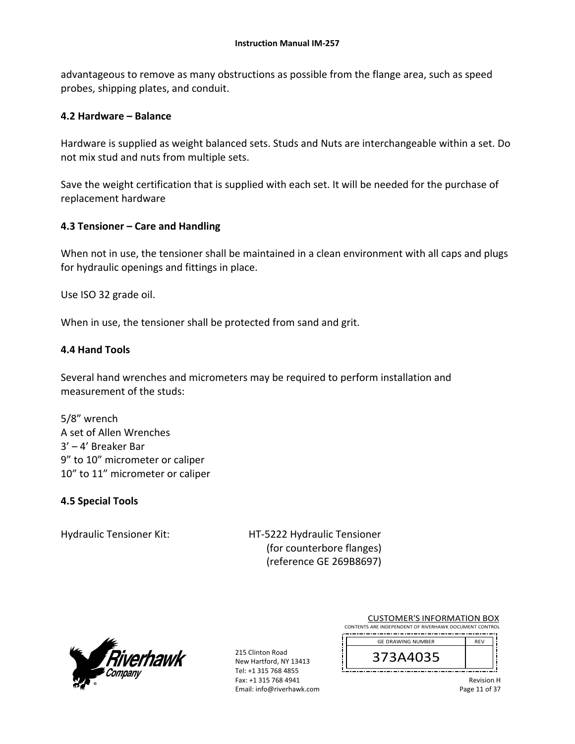advantageous to remove as many obstructions as possible from the flange area, such as speed probes, shipping plates, and conduit.

#### **4.2 Hardware – Balance**

Hardware is supplied as weight balanced sets. Studs and Nuts are interchangeable within a set. Do not mix stud and nuts from multiple sets.

Save the weight certification that is supplied with each set. It will be needed for the purchase of replacement hardware

#### **4.3 Tensioner – Care and Handling**

When not in use, the tensioner shall be maintained in a clean environment with all caps and plugs for hydraulic openings and fittings in place.

Use ISO 32 grade oil.

When in use, the tensioner shall be protected from sand and grit.

#### **4.4 Hand Tools**

Several hand wrenches and micrometers may be required to perform installation and measurement of the studs:

5/8" wrench A set of Allen Wrenches 3' – 4' Breaker Bar 9" to 10" micrometer or caliper 10" to 11" micrometer or caliper

#### **4.5 Special Tools**

Hydraulic Tensioner Kit: 
HT-5222 Hydraulic Tensioner (for counterbore flanges) (reference GE 269B8697)



215 Clinton Road New Hartford, NY 13413 Tel: +1 315 768 4855 Fax: +1 315 768 4941 Email: info@riverhawk.com

CUSTOMER'S INFORMATION BOX CONTENTS ARE INDEPENDENT OF RIVERHAWK DOCUMENT CONTROL

| <b>GE DRAWING NUMBER</b> | <b>RFV</b> |
|--------------------------|------------|
| J                        |            |

Revision H Page 11 of 37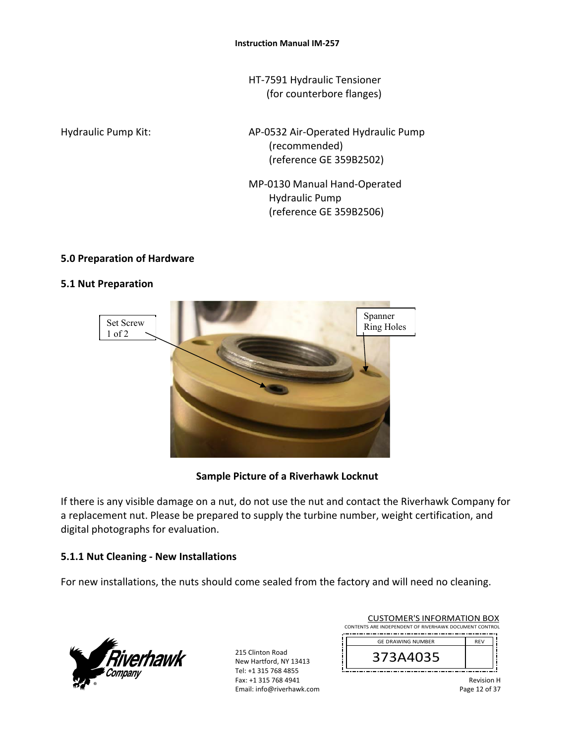HT‐7591 Hydraulic Tensioner (for counterbore flanges)

Hydraulic Pump Kit: 
and AP-0532 Air-Operated Hydraulic Pump (recommended) (reference GE 359B2502)

> MP‐0130 Manual Hand‐Operated Hydraulic Pump (reference GE 359B2506)

#### **5.0 Preparation of Hardware**

#### **5.1 Nut Preparation**



**Sample Picture of a Riverhawk Locknut** 

If there is any visible damage on a nut, do not use the nut and contact the Riverhawk Company for a replacement nut. Please be prepared to supply the turbine number, weight certification, and digital photographs for evaluation.

## **5.1.1 Nut Cleaning ‐ New Installations**

For new installations, the nuts should come sealed from the factory and will need no cleaning.



215 Clinton Road New Hartford, NY 13413 Tel: +1 315 768 4855 Fax: +1 315 768 4941 Email: info@riverhawk.com

| <b>CUSTOMER'S INFORMATION BOX</b>                      |            |  |
|--------------------------------------------------------|------------|--|
| CONTENTS ARE INDEPENDENT OF RIVERHAWK DOCUMENT CONTROL |            |  |
|                                                        | <b>REV</b> |  |
| <b>GE DRAWING NUMBER</b>                               |            |  |
| 373A4035                                               |            |  |

Revision H Page 12 of 37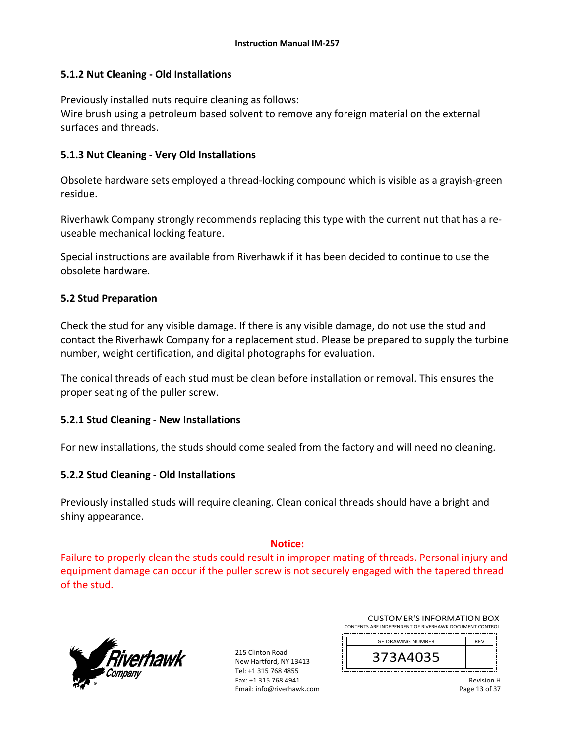#### **5.1.2 Nut Cleaning ‐ Old Installations**

Previously installed nuts require cleaning as follows: Wire brush using a petroleum based solvent to remove any foreign material on the external surfaces and threads.

#### **5.1.3 Nut Cleaning ‐ Very Old Installations**

Obsolete hardware sets employed a thread‐locking compound which is visible as a grayish‐green residue.

Riverhawk Company strongly recommends replacing this type with the current nut that has a re‐ useable mechanical locking feature.

Special instructions are available from Riverhawk if it has been decided to continue to use the obsolete hardware.

#### **5.2 Stud Preparation**

Check the stud for any visible damage. If there is any visible damage, do not use the stud and contact the Riverhawk Company for a replacement stud. Please be prepared to supply the turbine number, weight certification, and digital photographs for evaluation.

The conical threads of each stud must be clean before installation or removal. This ensures the proper seating of the puller screw.

#### **5.2.1 Stud Cleaning ‐ New Installations**

For new installations, the studs should come sealed from the factory and will need no cleaning.

#### **5.2.2 Stud Cleaning ‐ Old Installations**

Previously installed studs will require cleaning. Clean conical threads should have a bright and shiny appearance.

#### **Notice:**

Failure to properly clean the studs could result in improper mating of threads. Personal injury and equipment damage can occur if the puller screw is not securely engaged with the tapered thread of the stud.

í



215 Clinton Road New Hartford, NY 13413 Tel: +1 315 768 4855 Fax: +1 315 768 4941 Email: info@riverhawk.com

| <b>CUSTOMER'S INFORMATION BOX</b> |                                                        |            |  |
|-----------------------------------|--------------------------------------------------------|------------|--|
|                                   | CONTENTS ARE INDEPENDENT OF RIVERHAWK DOCUMENT CONTROL |            |  |
|                                   | <b>GE DRAWING NUMBER</b>                               | <b>RFV</b> |  |
|                                   | 373A4035                                               |            |  |

Revision H Page 13 of 37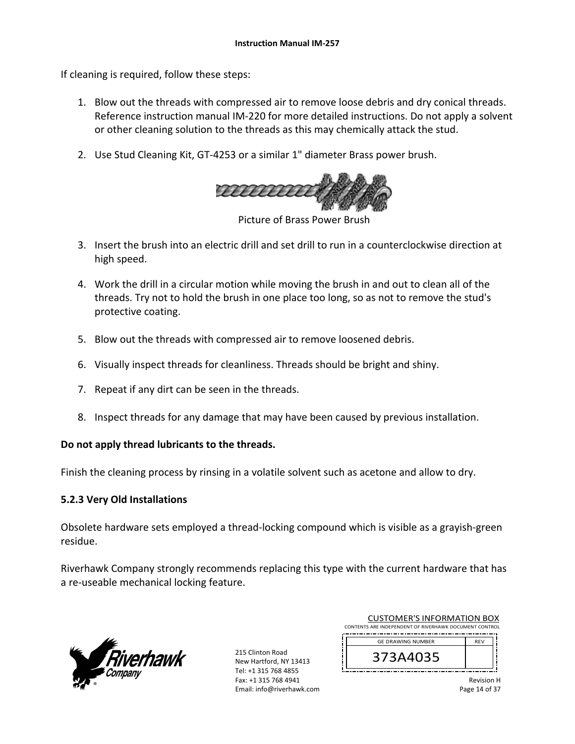If cleaning is required, follow these steps:

- 1. Blow out the threads with compressed air to remove loose debris and dry conical threads. Reference instruction manual IM‐220 for more detailed instructions. Do not apply a solvent or other cleaning solution to the threads as this may chemically attack the stud.
- 2. Use Stud Cleaning Kit, GT-4253 or a similar 1" diameter Brass power brush.



Picture of Brass Power Brush

- 3. Insert the brush into an electric drill and set drill to run in a counterclockwise direction at high speed.
- 4. Work the drill in a circular motion while moving the brush in and out to clean all of the threads. Try not to hold the brush in one place too long, so as not to remove the stud's protective coating.
- 5. Blow out the threads with compressed air to remove loosened debris.
- 6. Visually inspect threads for cleanliness. Threads should be bright and shiny.
- 7. Repeat if any dirt can be seen in the threads.
- 8. Inspect threads for any damage that may have been caused by previous installation.

#### **Do not apply thread lubricants to the threads.**

Finish the cleaning process by rinsing in a volatile solvent such as acetone and allow to dry.

#### **5.2.3 Very Old Installations**

Obsolete hardware sets employed a thread‐locking compound which is visible as a grayish‐green residue.

Riverhawk Company strongly recommends replacing this type with the current hardware that has a re‐useable mechanical locking feature.



215 Clinton Road New Hartford, NY 13413 Tel: +1 315 768 4855 Fax: +1 315 768 4941 Email: info@riverhawk.com

| CUSTUIVIER STINFURIVIATION BUA                         |            |  |
|--------------------------------------------------------|------------|--|
| CONTENTS ARE INDEPENDENT OF RIVERHAWK DOCUMENT CONTROL |            |  |
| <b>GE DRAWING NUMBER</b>                               | <b>RFV</b> |  |
| 373A4035                                               |            |  |

CUCTOMER'S INFORMATION BOY

Revision H Page 14 of 37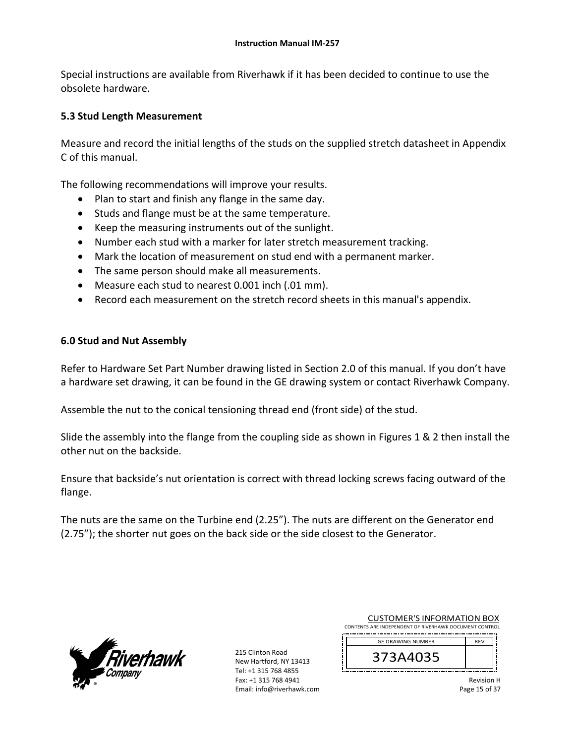Special instructions are available from Riverhawk if it has been decided to continue to use the obsolete hardware.

#### **5.3 Stud Length Measurement**

Measure and record the initial lengths of the studs on the supplied stretch datasheet in Appendix C of this manual.

The following recommendations will improve your results.

- Plan to start and finish any flange in the same day.
- Studs and flange must be at the same temperature.
- Keep the measuring instruments out of the sunlight.
- Number each stud with a marker for later stretch measurement tracking.
- Mark the location of measurement on stud end with a permanent marker.
- The same person should make all measurements.
- Measure each stud to nearest 0.001 inch (.01 mm).
- Record each measurement on the stretch record sheets in this manual's appendix.

#### **6.0 Stud and Nut Assembly**

Refer to Hardware Set Part Number drawing listed in Section 2.0 of this manual. If you don't have a hardware set drawing, it can be found in the GE drawing system or contact Riverhawk Company.

Assemble the nut to the conical tensioning thread end (front side) of the stud.

Slide the assembly into the flange from the coupling side as shown in Figures 1 & 2 then install the other nut on the backside.

Ensure that backside's nut orientation is correct with thread locking screws facing outward of the flange.

The nuts are the same on the Turbine end (2.25"). The nuts are different on the Generator end (2.75"); the shorter nut goes on the back side or the side closest to the Generator.



215 Clinton Road New Hartford, NY 13413 Tel: +1 315 768 4855 Fax: +1 315 768 4941 Email: info@riverhawk.com

| <b>CUSTOMER'S INFORMATION BOX</b>                      |            |  |  |  |
|--------------------------------------------------------|------------|--|--|--|
| CONTENTS ARE INDEPENDENT OF RIVERHAWK DOCUMENT CONTROL |            |  |  |  |
| <b>GE DRAWING NUMBER</b>                               | <b>RFV</b> |  |  |  |
| 373A4035                                               |            |  |  |  |

Revision H Page 15 of 37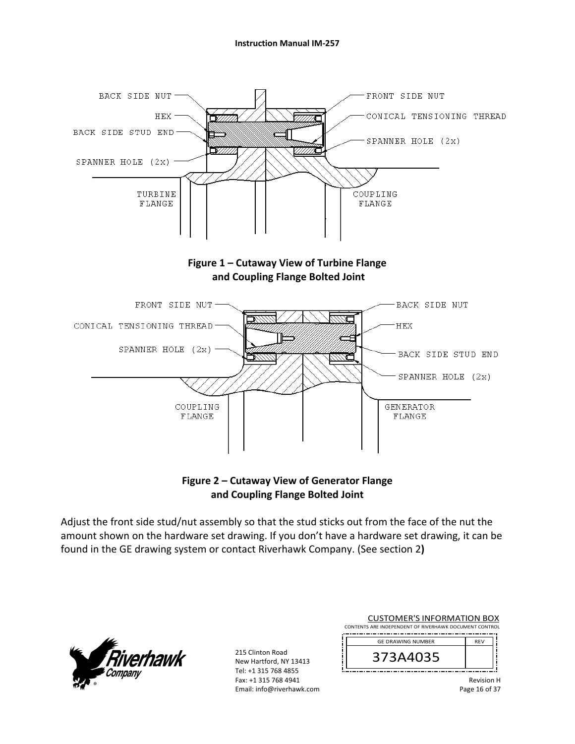

**Figure 2 – Cutaway View of Generator Flange and Coupling Flange Bolted Joint** 

Adjust the front side stud/nut assembly so that the stud sticks out from the face of the nut the amount shown on the hardware set drawing. If you don't have a hardware set drawing, it can be found in the GE drawing system or contact Riverhawk Company. (See section 2**)** 



215 Clinton Road New Hartford, NY 13413 Tel: +1 315 768 4855 Fax: +1 315 768 4941 Email: info@riverhawk.com

| <b>CUSTOMER'S INFORMATION BOX</b>                      |  |  |  |  |
|--------------------------------------------------------|--|--|--|--|
| CONTENTS ARE INDEPENDENT OF RIVERHAWK DOCUMENT CONTROL |  |  |  |  |
| <b>GE DRAWING NUMBER</b><br><b>RFV</b>                 |  |  |  |  |
| 373A4035                                               |  |  |  |  |
|                                                        |  |  |  |  |

Revision H Page 16 of 37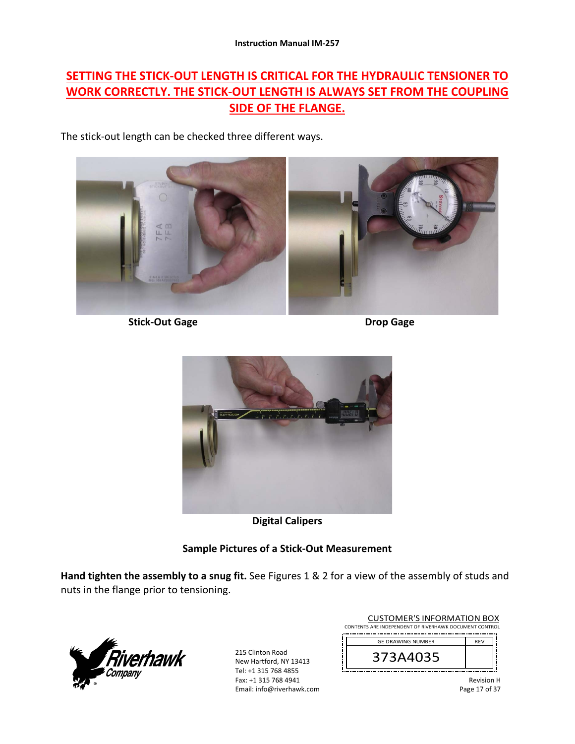# **SETTING THE STICK‐OUT LENGTH IS CRITICAL FOR THE HYDRAULIC TENSIONER TO WORK CORRECTLY. THE STICK‐OUT LENGTH IS ALWAYS SET FROM THE COUPLING SIDE OF THE FLANGE.**

The stick‐out length can be checked three different ways.



 **Stick‐Out Gage Drop Gage** 



**Digital Calipers** 

## **Sample Pictures of a Stick‐Out Measurement**

**Hand tighten the assembly to a snug fit.** See Figures 1 & 2 for a view of the assembly of studs and nuts in the flange prior to tensioning.



215 Clinton Road New Hartford, NY 13413 Tel: +1 315 768 4855 Fax: +1 315 768 4941 Email: info@riverhawk.com

| <b>CUSTOMER'S INFORMATION BOX</b>                      |            |  |  |
|--------------------------------------------------------|------------|--|--|
| CONTENTS ARE INDEPENDENT OF RIVERHAWK DOCUMENT CONTROL |            |  |  |
|                                                        |            |  |  |
| <b>GE DRAWING NUMBER</b>                               | <b>RFV</b> |  |  |
| 373A4035                                               |            |  |  |

Revision H Page 17 of 37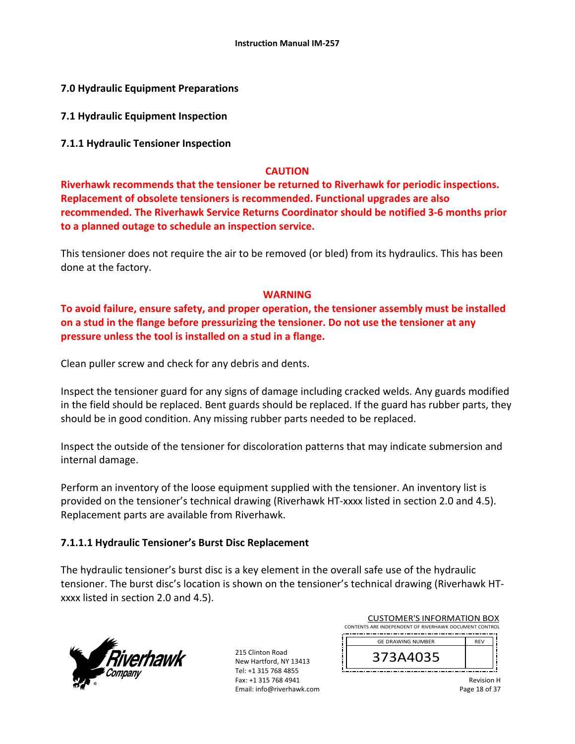**7.0 Hydraulic Equipment Preparations** 

**7.1 Hydraulic Equipment Inspection** 

**7.1.1 Hydraulic Tensioner Inspection** 

#### **CAUTION**

**Riverhawk recommends that the tensioner be returned to Riverhawk for periodic inspections. Replacement of obsolete tensioners is recommended. Functional upgrades are also recommended. The Riverhawk Service Returns Coordinator should be notified 3‐6 months prior to a planned outage to schedule an inspection service.** 

This tensioner does not require the air to be removed (or bled) from its hydraulics. This has been done at the factory.

#### **WARNING**

**To avoid failure, ensure safety, and proper operation, the tensioner assembly must be installed on a stud in the flange before pressurizing the tensioner. Do not use the tensioner at any pressure unless the tool is installed on a stud in a flange.** 

Clean puller screw and check for any debris and dents.

Inspect the tensioner guard for any signs of damage including cracked welds. Any guards modified in the field should be replaced. Bent guards should be replaced. If the guard has rubber parts, they should be in good condition. Any missing rubber parts needed to be replaced.

Inspect the outside of the tensioner for discoloration patterns that may indicate submersion and internal damage.

Perform an inventory of the loose equipment supplied with the tensioner. An inventory list is provided on the tensioner's technical drawing (Riverhawk HT‐xxxx listed in section 2.0 and 4.5). Replacement parts are available from Riverhawk.

## **7.1.1.1 Hydraulic Tensioner's Burst Disc Replacement**

The hydraulic tensioner's burst disc is a key element in the overall safe use of the hydraulic tensioner. The burst disc's location is shown on the tensioner's technical drawing (Riverhawk HT‐ xxxx listed in section 2.0 and 4.5).



215 Clinton Road New Hartford, NY 13413 Tel: +1 315 768 4855 Fax: +1 315 768 4941 Email: info@riverhawk.com

| <b>CUSTOMER'S INFORMATION BOX</b>                      |            |  |  |  |
|--------------------------------------------------------|------------|--|--|--|
| CONTENTS ARE INDEPENDENT OF RIVERHAWK DOCUMENT CONTROL |            |  |  |  |
|                                                        |            |  |  |  |
| <b>GE DRAWING NUMBER</b>                               | <b>RFV</b> |  |  |  |
| 373A4035                                               |            |  |  |  |

Revision H Page 18 of 37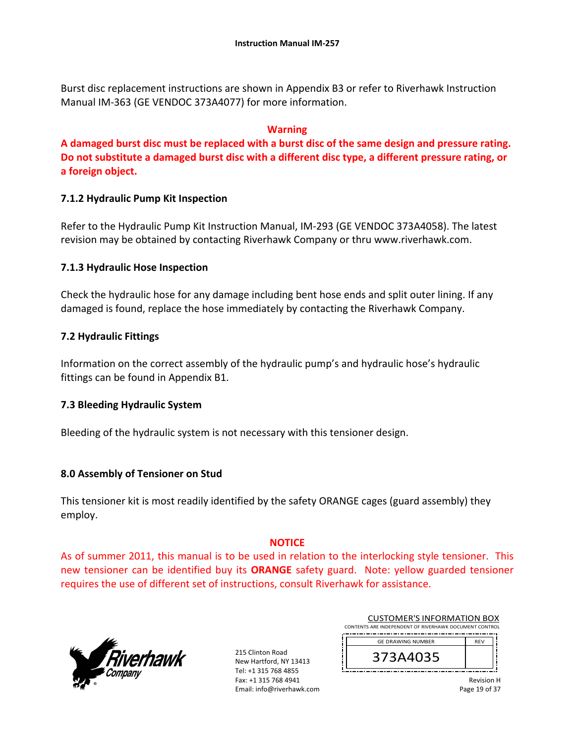Burst disc replacement instructions are shown in Appendix B3 or refer to Riverhawk Instruction Manual IM‐363 (GE VENDOC 373A4077) for more information.

#### **Warning**

**A damaged burst disc must be replaced with a burst disc of the same design and pressure rating. Do not substitute a damaged burst disc with a different disc type, a different pressure rating, or a foreign object.**

#### **7.1.2 Hydraulic Pump Kit Inspection**

Refer to the Hydraulic Pump Kit Instruction Manual, IM‐293 (GE VENDOC 373A4058). The latest revision may be obtained by contacting Riverhawk Company or thru www.riverhawk.com.

#### **7.1.3 Hydraulic Hose Inspection**

Check the hydraulic hose for any damage including bent hose ends and split outer lining. If any damaged is found, replace the hose immediately by contacting the Riverhawk Company.

#### **7.2 Hydraulic Fittings**

Information on the correct assembly of the hydraulic pump's and hydraulic hose's hydraulic fittings can be found in Appendix B1.

#### **7.3 Bleeding Hydraulic System**

Bleeding of the hydraulic system is not necessary with this tensioner design.

#### **8.0 Assembly of Tensioner on Stud**

This tensioner kit is most readily identified by the safety ORANGE cages (guard assembly) they employ.

#### **NOTICE**

As of summer 2011, this manual is to be used in relation to the interlocking style tensioner. This new tensioner can be identified buy its **ORANGE** safety guard. Note: yellow guarded tensioner requires the use of different set of instructions, consult Riverhawk for assistance.



215 Clinton Road New Hartford, NY 13413 Tel: +1 315 768 4855 Fax: +1 315 768 4941 Email: info@riverhawk.com

| <b>CUSTOMER'S INFORMATION BOX</b>                      |            |  |  |
|--------------------------------------------------------|------------|--|--|
| CONTENTS ARE INDEPENDENT OF RIVERHAWK DOCUMENT CONTROL |            |  |  |
| <b>GE DRAWING NUMBER</b>                               | <b>RFV</b> |  |  |
| 373A4035                                               |            |  |  |

Revision H Page 19 of 37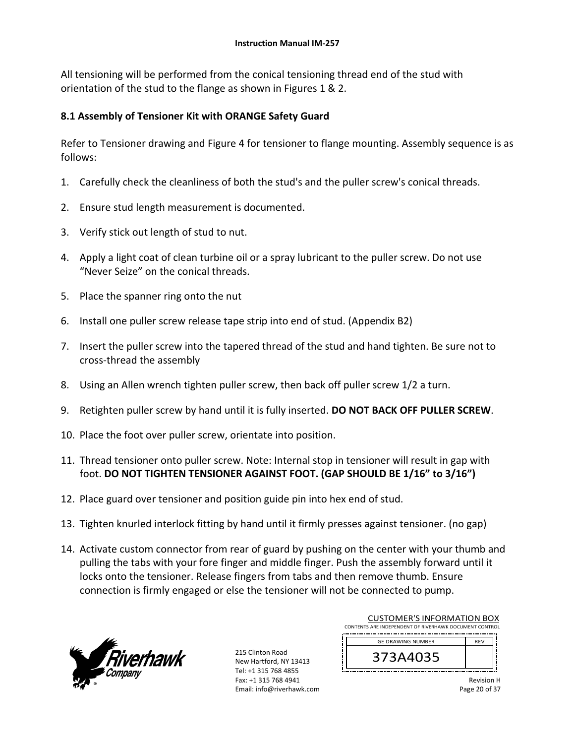All tensioning will be performed from the conical tensioning thread end of the stud with orientation of the stud to the flange as shown in Figures 1 & 2.

## **8.1 Assembly of Tensioner Kit with ORANGE Safety Guard**

Refer to Tensioner drawing and Figure 4 for tensioner to flange mounting. Assembly sequence is as follows:

- 1. Carefully check the cleanliness of both the stud's and the puller screw's conical threads.
- 2. Ensure stud length measurement is documented.
- 3. Verify stick out length of stud to nut.
- 4. Apply a light coat of clean turbine oil or a spray lubricant to the puller screw. Do not use "Never Seize" on the conical threads.
- 5. Place the spanner ring onto the nut
- 6. Install one puller screw release tape strip into end of stud. (Appendix B2)
- 7. Insert the puller screw into the tapered thread of the stud and hand tighten. Be sure not to cross‐thread the assembly
- 8. Using an Allen wrench tighten puller screw, then back off puller screw 1/2 a turn.
- 9. Retighten puller screw by hand until it is fully inserted. **DO NOT BACK OFF PULLER SCREW**.
- 10. Place the foot over puller screw, orientate into position.
- 11. Thread tensioner onto puller screw. Note: Internal stop in tensioner will result in gap with foot. **DO NOT TIGHTEN TENSIONER AGAINST FOOT. (GAP SHOULD BE 1/16" to 3/16")**
- 12. Place guard over tensioner and position guide pin into hex end of stud.
- 13. Tighten knurled interlock fitting by hand until it firmly presses against tensioner. (no gap)
- 14. Activate custom connector from rear of guard by pushing on the center with your thumb and pulling the tabs with your fore finger and middle finger. Push the assembly forward until it locks onto the tensioner. Release fingers from tabs and then remove thumb. Ensure connection is firmly engaged or else the tensioner will not be connected to pump.



215 Clinton Road New Hartford, NY 13413 Tel: +1 315 768 4855 Fax: +1 315 768 4941 Email: info@riverhawk.com

|                                                        | <b>CUSTOMER'S INFORMATION BOX</b>      |  |  |  |  |
|--------------------------------------------------------|----------------------------------------|--|--|--|--|
| CONTENTS ARE INDEPENDENT OF RIVERHAWK DOCUMENT CONTROL |                                        |  |  |  |  |
|                                                        | <b>GE DRAWING NUMBER</b><br><b>RFV</b> |  |  |  |  |
|                                                        | 373A4035                               |  |  |  |  |
|                                                        |                                        |  |  |  |  |

Revision H Page 20 of 37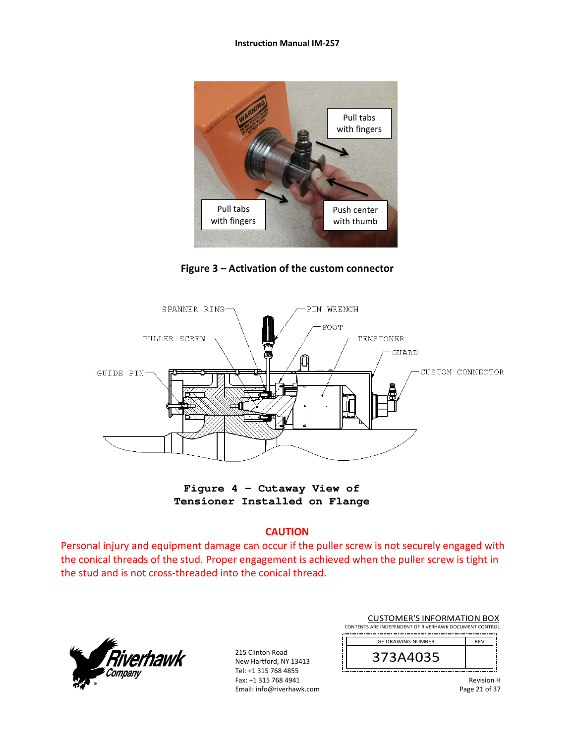#### **Instruction Manual IM‐257**



**Figure 3 – Activation of the custom connector** 



**Figure 4 – Cutaway View of Tensioner Installed on Flange** 

#### **CAUTION**

Personal injury and equipment damage can occur if the puller screw is not securely engaged with the conical threads of the stud. Proper engagement is achieved when the puller screw is tight in the stud and is not cross‐threaded into the conical thread.



215 Clinton Road New Hartford, NY 13413 Tel: +1 315 768 4855 Fax: +1 315 768 4941 Email: info@riverhawk.com

| <b>CUSTOMER'S INFORMATION BOX</b>                      |  |  |  |
|--------------------------------------------------------|--|--|--|
| CONTENTS ARE INDEPENDENT OF RIVERHAWK DOCUMENT CONTROL |  |  |  |
| <b>REV</b><br><b>GE DRAWING NUMBER</b>                 |  |  |  |

| <b>GE DRAWING NUMBER</b> | <b>RFV</b> |
|--------------------------|------------|
| 373A4035                 |            |

Revision H Page 21 of 37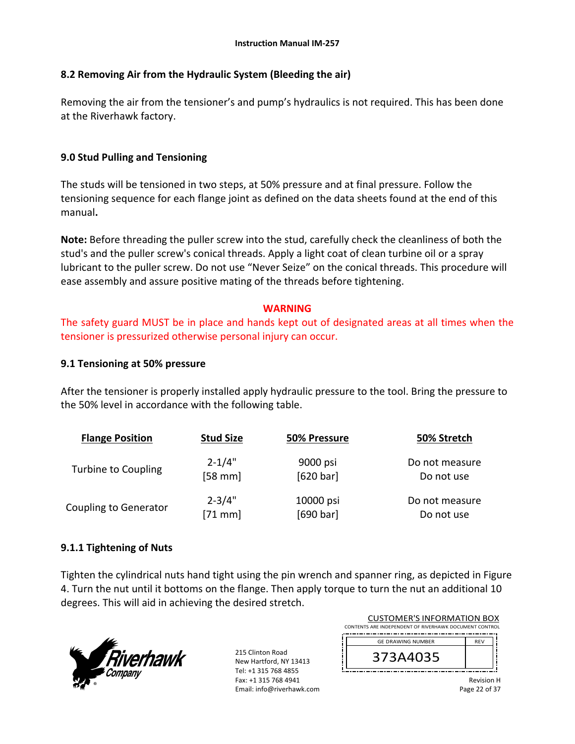#### **8.2 Removing Air from the Hydraulic System (Bleeding the air)**

Removing the air from the tensioner's and pump's hydraulics is not required. This has been done at the Riverhawk factory.

#### **9.0 Stud Pulling and Tensioning**

The studs will be tensioned in two steps, at 50% pressure and at final pressure. Follow the tensioning sequence for each flange joint as defined on the data sheets found at the end of this manual**.** 

**Note:** Before threading the puller screw into the stud, carefully check the cleanliness of both the stud's and the puller screw's conical threads. Apply a light coat of clean turbine oil or a spray lubricant to the puller screw. Do not use "Never Seize" on the conical threads. This procedure will ease assembly and assure positive mating of the threads before tightening.

#### **WARNING**

The safety guard MUST be in place and hands kept out of designated areas at all times when the tensioner is pressurized otherwise personal injury can occur.

#### **9.1 Tensioning at 50% pressure**

After the tensioner is properly installed apply hydraulic pressure to the tool. Bring the pressure to the 50% level in accordance with the following table.

| <b>Flange Position</b>       | <b>Stud Size</b> | 50% Pressure | 50% Stretch    |
|------------------------------|------------------|--------------|----------------|
| Turbine to Coupling          | $2 - 1/4"$       | 9000 psi     | Do not measure |
|                              | $[58$ mm]        | [620 bar]    | Do not use     |
| <b>Coupling to Generator</b> | $2 - 3/4"$       | 10000 psi    | Do not measure |
|                              | $[71$ mm]        | [690 bar]    | Do not use     |

## **9.1.1 Tightening of Nuts**

Tighten the cylindrical nuts hand tight using the pin wrench and spanner ring, as depicted in Figure 4. Turn the nut until it bottoms on the flange. Then apply torque to turn the nut an additional 10 degrees. This will aid in achieving the desired stretch.



215 Clinton Road New Hartford, NY 13413 Tel: +1 315 768 4855 Fax: +1 315 768 4941 Email: info@riverhawk.com

|                                                        | <b>CUSTOMER'S INFORMATION BOX</b>      |  |  |  |  |
|--------------------------------------------------------|----------------------------------------|--|--|--|--|
| CONTENTS ARE INDEPENDENT OF RIVERHAWK DOCUMENT CONTROL |                                        |  |  |  |  |
|                                                        | <b>GE DRAWING NUMBER</b><br><b>RFV</b> |  |  |  |  |
|                                                        |                                        |  |  |  |  |
|                                                        | 373A4035                               |  |  |  |  |
|                                                        |                                        |  |  |  |  |
|                                                        |                                        |  |  |  |  |

Revision H Page 22 of 37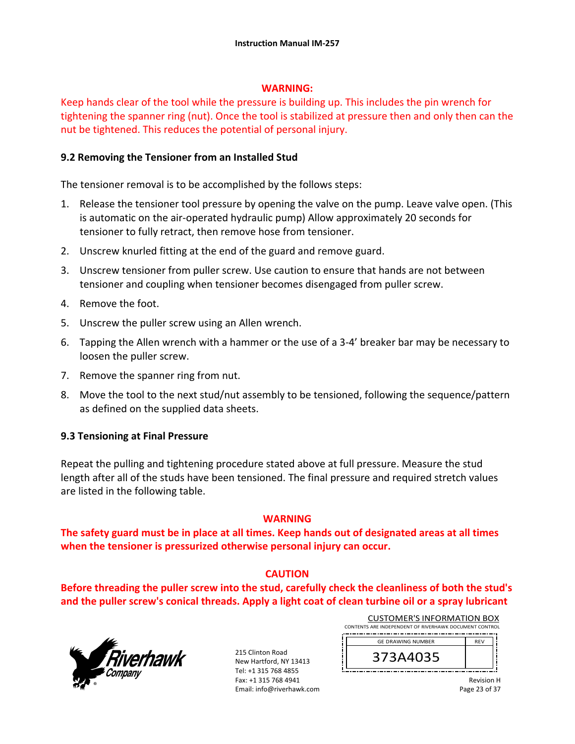#### **WARNING:**

Keep hands clear of the tool while the pressure is building up. This includes the pin wrench for tightening the spanner ring (nut). Once the tool is stabilized at pressure then and only then can the nut be tightened. This reduces the potential of personal injury.

#### **9.2 Removing the Tensioner from an Installed Stud**

The tensioner removal is to be accomplished by the follows steps:

- 1. Release the tensioner tool pressure by opening the valve on the pump. Leave valve open. (This is automatic on the air‐operated hydraulic pump) Allow approximately 20 seconds for tensioner to fully retract, then remove hose from tensioner.
- 2. Unscrew knurled fitting at the end of the guard and remove guard.
- 3. Unscrew tensioner from puller screw. Use caution to ensure that hands are not between tensioner and coupling when tensioner becomes disengaged from puller screw.
- 4. Remove the foot.
- 5. Unscrew the puller screw using an Allen wrench.
- 6. Tapping the Allen wrench with a hammer or the use of a 3‐4' breaker bar may be necessary to loosen the puller screw.
- 7. Remove the spanner ring from nut.
- 8. Move the tool to the next stud/nut assembly to be tensioned, following the sequence/pattern as defined on the supplied data sheets.

## **9.3 Tensioning at Final Pressure**

Repeat the pulling and tightening procedure stated above at full pressure. Measure the stud length after all of the studs have been tensioned. The final pressure and required stretch values are listed in the following table.

#### **WARNING**

**The safety guard must be in place at all times. Keep hands out of designated areas at all times when the tensioner is pressurized otherwise personal injury can occur.** 

## **CAUTION**

**Before threading the puller screw into the stud, carefully check the cleanliness of both the stud's and the puller screw's conical threads. Apply a light coat of clean turbine oil or a spray lubricant** 



215 Clinton Road New Hartford, NY 13413 Tel: +1 315 768 4855 Fax: +1 315 768 4941 Email: info@riverhawk.com

| <b>CUSTOMER'S INFORMATION BOX</b>                      |  |  |  |  |
|--------------------------------------------------------|--|--|--|--|
| CONTENTS ARE INDEPENDENT OF RIVERHAWK DOCUMENT CONTROL |  |  |  |  |
| <b>GE DRAWING NUMBER</b><br><b>RFV</b>                 |  |  |  |  |
| 373A4035                                               |  |  |  |  |

Revision H Page 23 of 37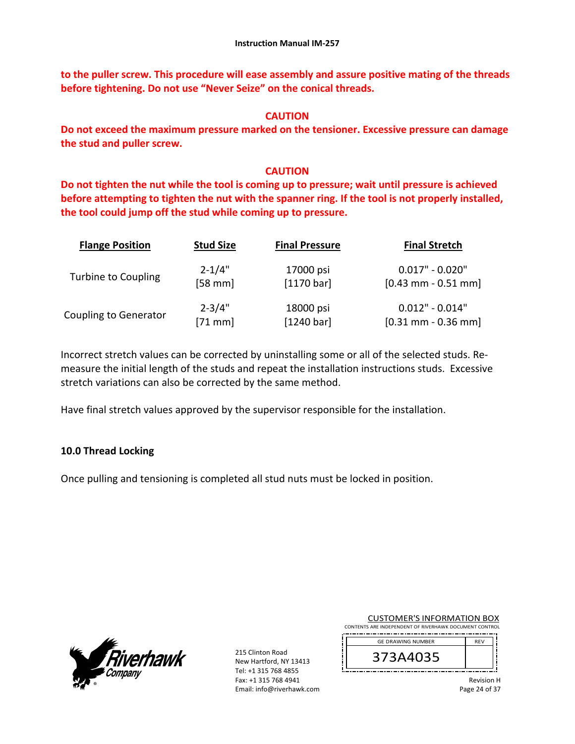**to the puller screw. This procedure will ease assembly and assure positive mating of the threads before tightening. Do not use "Never Seize" on the conical threads.** 

#### **CAUTION**

**Do not exceed the maximum pressure marked on the tensioner. Excessive pressure can damage the stud and puller screw.** 

#### **CAUTION**

**Do not tighten the nut while the tool is coming up to pressure; wait until pressure is achieved before attempting to tighten the nut with the spanner ring. If the tool is not properly installed, the tool could jump off the stud while coming up to pressure.** 

| <b>Flange Position</b>       | <b>Stud Size</b> | <b>Final Pressure</b> | <b>Final Stretch</b>  |
|------------------------------|------------------|-----------------------|-----------------------|
| <b>Turbine to Coupling</b>   | $2 - 1/4"$       | 17000 psi             | $0.017" - 0.020"$     |
|                              | $[58$ mm]        | [1170 bar]            | $[0.43$ mm - 0.51 mm  |
| <b>Coupling to Generator</b> | $2 - 3/4"$       | 18000 psi             | $0.012" - 0.014"$     |
|                              | $[71$ mm]        | [1240 bar]            | $[0.31$ mm - 0.36 mm] |

Incorrect stretch values can be corrected by uninstalling some or all of the selected studs. Re‐ measure the initial length of the studs and repeat the installation instructions studs. Excessive stretch variations can also be corrected by the same method.

Have final stretch values approved by the supervisor responsible for the installation.

## **10.0 Thread Locking**

Once pulling and tensioning is completed all stud nuts must be locked in position.



215 Clinton Road New Hartford, NY 13413 Tel: +1 315 768 4855 Fax: +1 315 768 4941 Email: info@riverhawk.com

CUSTOMER'S INFORMATION BOX CONTENTS ARE INDEPENDENT OF RIVERHAWK DOCUMENT CONTROL

\_.\_.\_.\_.\_.\_.\_.\_.\_. REV 373A4035 GE DRAWING NUMBER

> Revision H Page 24 of 37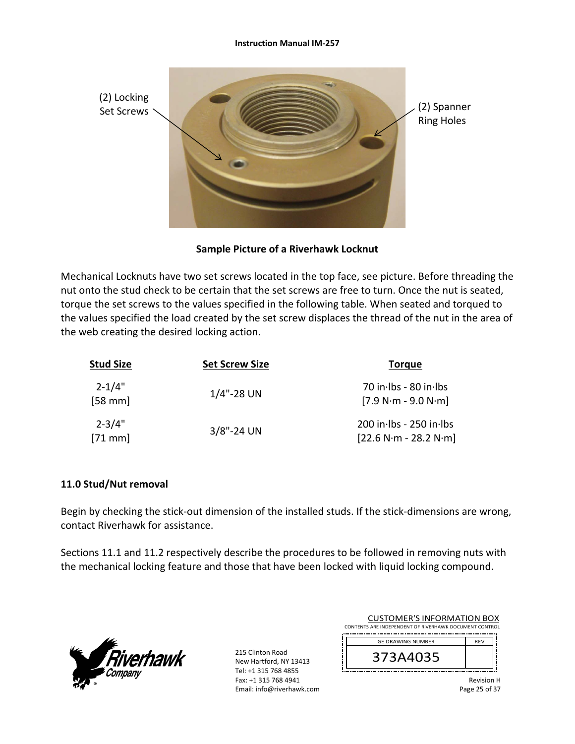

#### **Sample Picture of a Riverhawk Locknut**

Mechanical Locknuts have two set screws located in the top face, see picture. Before threading the nut onto the stud check to be certain that the set screws are free to turn. Once the nut is seated, torque the set screws to the values specified in the following table. When seated and torqued to the values specified the load created by the set screw displaces the thread of the nut in the area of the web creating the desired locking action.

| <b>Stud Size</b>       | <b>Set Screw Size</b> | <b>Torque</b>                                      |
|------------------------|-----------------------|----------------------------------------------------|
| $2 - 1/4"$<br>$[58$ mm | $1/4$ "-28 UN         | 70 in Ibs - 80 in Ibs<br>$[7.9 N·m - 9.0 N·m]$     |
| $2 - 3/4"$<br>$[71$ mm | $3/8$ "-24 UN         | 200 in lbs - 250 in lbs<br>$[22.6 N·m - 28.2 N·m]$ |

#### **11.0 Stud/Nut removal**

Begin by checking the stick-out dimension of the installed studs. If the stick-dimensions are wrong, contact Riverhawk for assistance.

Sections 11.1 and 11.2 respectively describe the procedures to be followed in removing nuts with the mechanical locking feature and those that have been locked with liquid locking compound.



215 Clinton Road New Hartford, NY 13413 Tel: +1 315 768 4855 Fax: +1 315 768 4941 Email: info@riverhawk.com

| <b>CUSTOMER'S INFORMATION BOX</b>                      |            |  |
|--------------------------------------------------------|------------|--|
| CONTENTS ARE INDEPENDENT OF RIVERHAWK DOCUMENT CONTROL |            |  |
| <b>GE DRAWING NUMBER</b>                               | <b>RFV</b> |  |
|                                                        |            |  |
| 373A4035                                               |            |  |
|                                                        |            |  |
|                                                        |            |  |

Revision H Page 25 of 37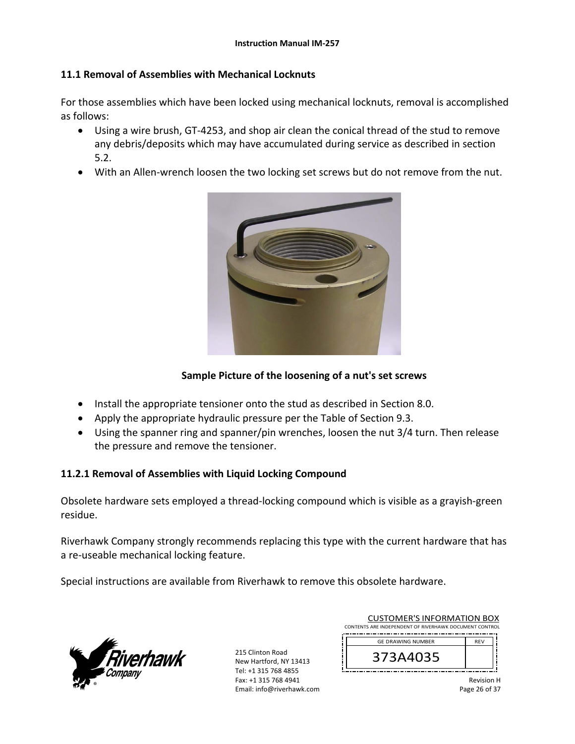#### **11.1 Removal of Assemblies with Mechanical Locknuts**

For those assemblies which have been locked using mechanical locknuts, removal is accomplished as follows:

- Using a wire brush, GT‐4253, and shop air clean the conical thread of the stud to remove any debris/deposits which may have accumulated during service as described in section 5.2.
- With an Allen-wrench loosen the two locking set screws but do not remove from the nut.



## **Sample Picture of the loosening of a nut's set screws**

- Install the appropriate tensioner onto the stud as described in Section 8.0.
- Apply the appropriate hydraulic pressure per the Table of Section 9.3.
- Using the spanner ring and spanner/pin wrenches, loosen the nut 3/4 turn. Then release the pressure and remove the tensioner.

#### **11.2.1 Removal of Assemblies with Liquid Locking Compound**

Obsolete hardware sets employed a thread‐locking compound which is visible as a grayish‐green residue.

Riverhawk Company strongly recommends replacing this type with the current hardware that has a re‐useable mechanical locking feature.

Special instructions are available from Riverhawk to remove this obsolete hardware.



215 Clinton Road New Hartford, NY 13413 Tel: +1 315 768 4855 Fax: +1 315 768 4941 Email: info@riverhawk.com

| <b>CUSTOMER'S INFORMATION BOX</b>                      |            |  |  |  |
|--------------------------------------------------------|------------|--|--|--|
| CONTENTS ARE INDEPENDENT OF RIVERHAWK DOCUMENT CONTROL |            |  |  |  |
| <b>GE DRAWING NUMBER</b>                               | <b>RFV</b> |  |  |  |
| 373A4035                                               |            |  |  |  |

Revision H Page 26 of 37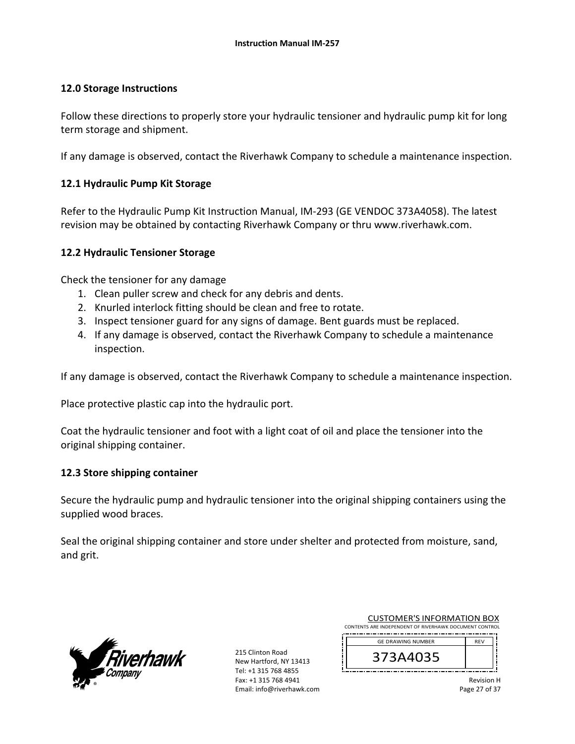#### **12.0 Storage Instructions**

Follow these directions to properly store your hydraulic tensioner and hydraulic pump kit for long term storage and shipment.

If any damage is observed, contact the Riverhawk Company to schedule a maintenance inspection.

#### **12.1 Hydraulic Pump Kit Storage**

Refer to the Hydraulic Pump Kit Instruction Manual, IM‐293 (GE VENDOC 373A4058). The latest revision may be obtained by contacting Riverhawk Company or thru www.riverhawk.com.

#### **12.2 Hydraulic Tensioner Storage**

Check the tensioner for any damage

- 1. Clean puller screw and check for any debris and dents.
- 2. Knurled interlock fitting should be clean and free to rotate.
- 3. Inspect tensioner guard for any signs of damage. Bent guards must be replaced.
- 4. If any damage is observed, contact the Riverhawk Company to schedule a maintenance inspection.

If any damage is observed, contact the Riverhawk Company to schedule a maintenance inspection.

Place protective plastic cap into the hydraulic port.

Coat the hydraulic tensioner and foot with a light coat of oil and place the tensioner into the original shipping container.

#### **12.3 Store shipping container**

Secure the hydraulic pump and hydraulic tensioner into the original shipping containers using the supplied wood braces.

Seal the original shipping container and store under shelter and protected from moisture, sand, and grit.



215 Clinton Road New Hartford, NY 13413 Tel: +1 315 768 4855 Fax: +1 315 768 4941 Email: info@riverhawk.com

| <b>CUSTOMER'S INFORMATION BOX</b>                      |            |  |  |
|--------------------------------------------------------|------------|--|--|
| CONTENTS ARE INDEPENDENT OF RIVERHAWK DOCUMENT CONTROL |            |  |  |
| <b>GE DRAWING NUMBER</b>                               | <b>RFV</b> |  |  |
| 373A4035                                               |            |  |  |

Revision H Page 27 of 37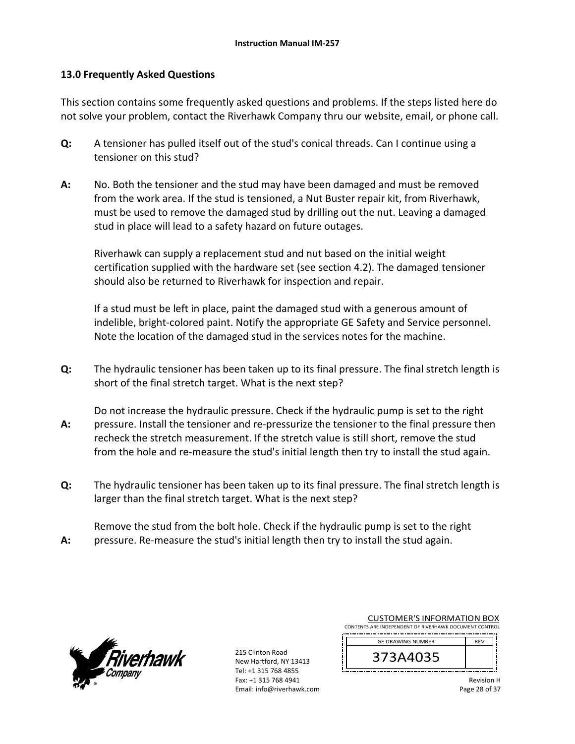#### **13.0 Frequently Asked Questions**

This section contains some frequently asked questions and problems. If the steps listed here do not solve your problem, contact the Riverhawk Company thru our website, email, or phone call.

- **Q:**  A tensioner has pulled itself out of the stud's conical threads. Can I continue using a tensioner on this stud?
- **A:**  No. Both the tensioner and the stud may have been damaged and must be removed from the work area. If the stud is tensioned, a Nut Buster repair kit, from Riverhawk, must be used to remove the damaged stud by drilling out the nut. Leaving a damaged stud in place will lead to a safety hazard on future outages.

Riverhawk can supply a replacement stud and nut based on the initial weight certification supplied with the hardware set (see section 4.2). The damaged tensioner should also be returned to Riverhawk for inspection and repair.

If a stud must be left in place, paint the damaged stud with a generous amount of indelible, bright‐colored paint. Notify the appropriate GE Safety and Service personnel. Note the location of the damaged stud in the services notes for the machine.

**Q:**  The hydraulic tensioner has been taken up to its final pressure. The final stretch length is short of the final stretch target. What is the next step?

**A:**  Do not increase the hydraulic pressure. Check if the hydraulic pump is set to the right pressure. Install the tensioner and re‐pressurize the tensioner to the final pressure then recheck the stretch measurement. If the stretch value is still short, remove the stud from the hole and re‐measure the stud's initial length then try to install the stud again.

**Q:**  The hydraulic tensioner has been taken up to its final pressure. The final stretch length is larger than the final stretch target. What is the next step?

**A:**  Remove the stud from the bolt hole. Check if the hydraulic pump is set to the right pressure. Re‐measure the stud's initial length then try to install the stud again.



215 Clinton Road New Hartford, NY 13413 Tel: +1 315 768 4855 Fax: +1 315 768 4941 Email: info@riverhawk.com

|                                                        | <b>CUSTOMER'S INFORMATION BOX</b> |            |  |
|--------------------------------------------------------|-----------------------------------|------------|--|
| CONTENTS ARE INDEPENDENT OF RIVERHAWK DOCUMENT CONTROL |                                   |            |  |
|                                                        | <b>GE DRAWING NUMBER</b>          | <b>RFV</b> |  |
|                                                        |                                   |            |  |
|                                                        | 373A4035                          |            |  |
|                                                        |                                   |            |  |

Revision H Page 28 of 37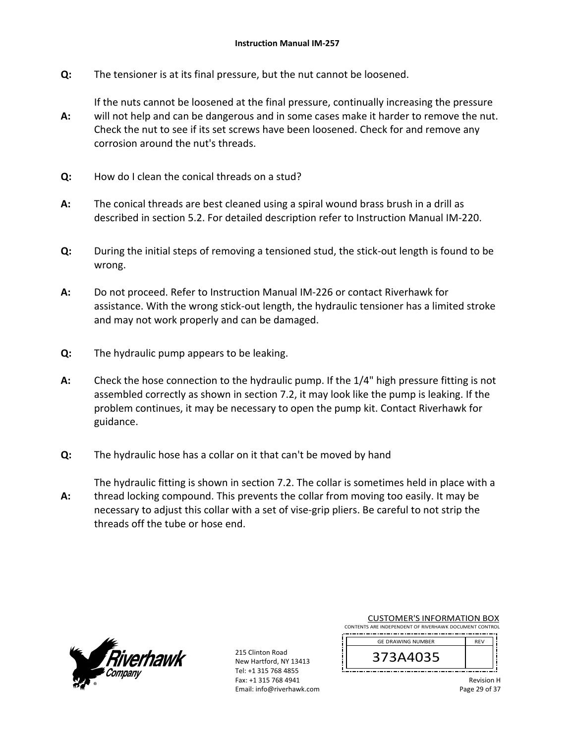**Q:**  The tensioner is at its final pressure, but the nut cannot be loosened.

If the nuts cannot be loosened at the final pressure, continually increasing the pressure

- **A:**  will not help and can be dangerous and in some cases make it harder to remove the nut. Check the nut to see if its set screws have been loosened. Check for and remove any corrosion around the nut's threads.
- **Q:**  How do I clean the conical threads on a stud?
- **A:**  The conical threads are best cleaned using a spiral wound brass brush in a drill as described in section 5.2. For detailed description refer to Instruction Manual IM‐220.
- **Q:**  During the initial steps of removing a tensioned stud, the stick-out length is found to be wrong.
- **A:**  Do not proceed. Refer to Instruction Manual IM‐226 or contact Riverhawk for assistance. With the wrong stick‐out length, the hydraulic tensioner has a limited stroke and may not work properly and can be damaged.
- **Q:**  The hydraulic pump appears to be leaking.
- **A:**  Check the hose connection to the hydraulic pump. If the 1/4" high pressure fitting is not assembled correctly as shown in section 7.2, it may look like the pump is leaking. If the problem continues, it may be necessary to open the pump kit. Contact Riverhawk for guidance.
- **Q:**  The hydraulic hose has a collar on it that can't be moved by hand
- **A:**  The hydraulic fitting is shown in section 7.2. The collar is sometimes held in place with a thread locking compound. This prevents the collar from moving too easily. It may be necessary to adjust this collar with a set of vise‐grip pliers. Be careful to not strip the threads off the tube or hose end.



215 Clinton Road New Hartford, NY 13413 Tel: +1 315 768 4855 Fax: +1 315 768 4941 Email: info@riverhawk.com

| <b>CUSTOMER'S INFORMATION BOX</b>                      |            |  |
|--------------------------------------------------------|------------|--|
| CONTENTS ARE INDEPENDENT OF RIVERHAWK DOCUMENT CONTROL |            |  |
| <b>GE DRAWING NUMBER</b>                               | <b>RFV</b> |  |
|                                                        |            |  |

373A4035

Revision H Page 29 of 37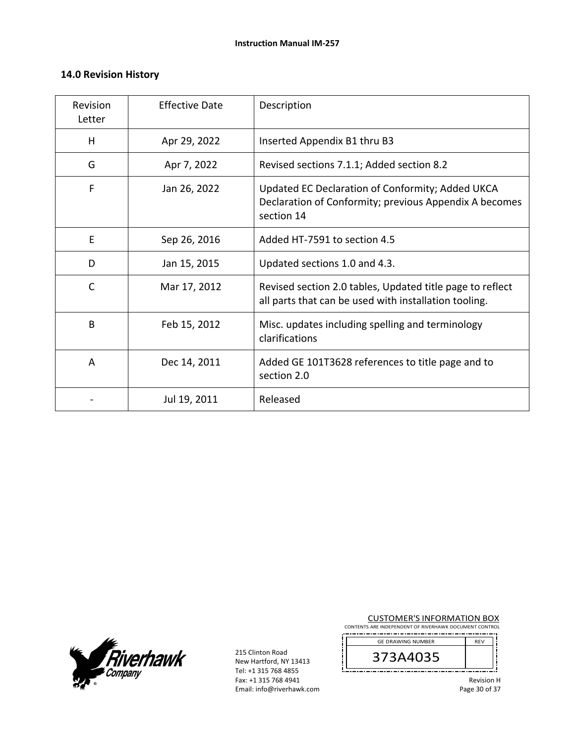#### **14.0 Revision History**

| Revision<br>Letter | <b>Effective Date</b> | Description                                                                                                              |
|--------------------|-----------------------|--------------------------------------------------------------------------------------------------------------------------|
| H                  | Apr 29, 2022          | Inserted Appendix B1 thru B3                                                                                             |
| G                  | Apr 7, 2022           | Revised sections 7.1.1; Added section 8.2                                                                                |
| F                  | Jan 26, 2022          | Updated EC Declaration of Conformity; Added UKCA<br>Declaration of Conformity; previous Appendix A becomes<br>section 14 |
| E                  | Sep 26, 2016          | Added HT-7591 to section 4.5                                                                                             |
| D                  | Jan 15, 2015          | Updated sections 1.0 and 4.3.                                                                                            |
| C                  | Mar 17, 2012          | Revised section 2.0 tables, Updated title page to reflect<br>all parts that can be used with installation tooling.       |
| B                  | Feb 15, 2012          | Misc. updates including spelling and terminology<br>clarifications                                                       |
| A                  | Dec 14, 2011          | Added GE 101T3628 references to title page and to<br>section 2.0                                                         |
|                    | Jul 19, 2011          | Released                                                                                                                 |

**Fiverhawk** 

215 Clinton Road New Hartford, NY 13413 Tel: +1 315 768 4855 Fax: +1 315 768 4941 Email: info@riverhawk.com CUSTOMER'S INFORMATION BOX

CONTENTS ARE INDEPENDENT OF RIVERHAWK DOCUMENT CONTROL REV GE DRAWING NUMBER

| GE DRAWING NUMBER |  |
|-------------------|--|
| ب<br>J J          |  |
|                   |  |

Revision H Page 30 of 37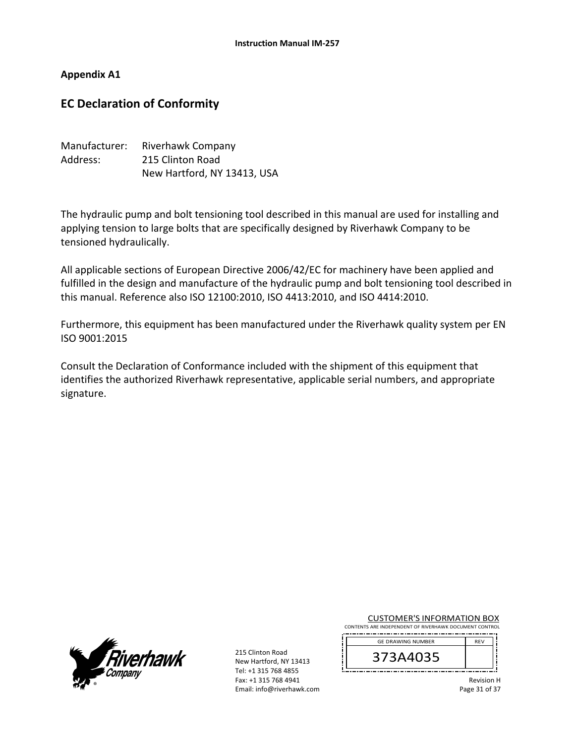#### **Appendix A1**

# **EC Declaration of Conformity**

| Manufacturer: | Riverhawk Company           |
|---------------|-----------------------------|
| Address:      | 215 Clinton Road            |
|               | New Hartford, NY 13413, USA |

The hydraulic pump and bolt tensioning tool described in this manual are used for installing and applying tension to large bolts that are specifically designed by Riverhawk Company to be tensioned hydraulically.

All applicable sections of European Directive 2006/42/EC for machinery have been applied and fulfilled in the design and manufacture of the hydraulic pump and bolt tensioning tool described in this manual. Reference also ISO 12100:2010, ISO 4413:2010, and ISO 4414:2010.

Furthermore, this equipment has been manufactured under the Riverhawk quality system per EN ISO 9001:2015

Consult the Declaration of Conformance included with the shipment of this equipment that identifies the authorized Riverhawk representative, applicable serial numbers, and appropriate signature.



215 Clinton Road New Hartford, NY 13413 Tel: +1 315 768 4855 Fax: +1 315 768 4941 Email: info@riverhawk.com CUSTOMER'S INFORMATION BOX

CONTENTS ARE INDEPENDENT OF RIVERHAWK DOCUMENT CONTROL  $R$ <sub>REV</sub> GE DRAWING NUMBER

| <b>OL DIVOYTING INCIVIDEN</b> |  |  |
|-------------------------------|--|--|
| ت                             |  |  |
|                               |  |  |

Revision H Page 31 of 37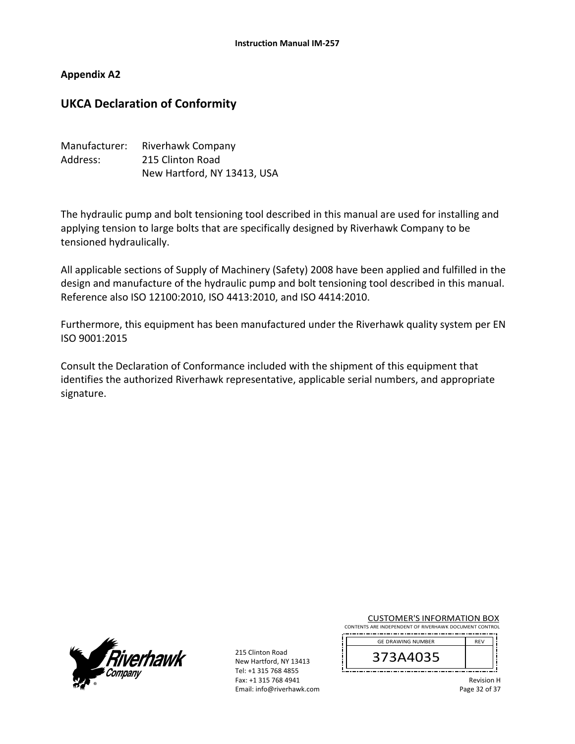#### **Appendix A2**

## **UKCA Declaration of Conformity**

| Manufacturer: | Riverhawk Company           |
|---------------|-----------------------------|
| Address:      | 215 Clinton Road            |
|               | New Hartford, NY 13413, USA |

The hydraulic pump and bolt tensioning tool described in this manual are used for installing and applying tension to large bolts that are specifically designed by Riverhawk Company to be tensioned hydraulically.

All applicable sections of Supply of Machinery (Safety) 2008 have been applied and fulfilled in the design and manufacture of the hydraulic pump and bolt tensioning tool described in this manual. Reference also ISO 12100:2010, ISO 4413:2010, and ISO 4414:2010.

Furthermore, this equipment has been manufactured under the Riverhawk quality system per EN ISO 9001:2015

Consult the Declaration of Conformance included with the shipment of this equipment that identifies the authorized Riverhawk representative, applicable serial numbers, and appropriate signature.



215 Clinton Road New Hartford, NY 13413 Tel: +1 315 768 4855 Fax: +1 315 768 4941 Email: info@riverhawk.com CUSTOMER'S INFORMATION BOX

CONTENTS ARE INDEPENDENT OF RIVERHAWK DOCUMENT CONTROL ------------------------------------- $R$  REV  $\overline{R}$ GE DRAWING NUMBER

| <b>96 PIVAYYIIYO IYOIYIDEI</b> N |  |
|----------------------------------|--|
| ే<br>ر ر                         |  |
|                                  |  |

Revision H Page 32 of 37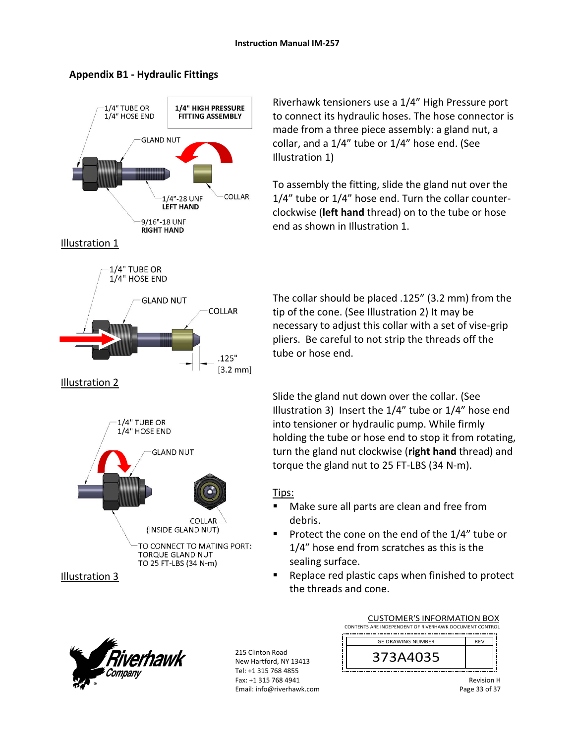## **Appendix B1 ‐ Hydraulic Fittings**



Riverhawk tensioners use a 1/4" High Pressure port to connect its hydraulic hoses. The hose connector is made from a three piece assembly: a gland nut, a collar, and a 1/4" tube or 1/4" hose end. (See Illustration 1)

To assembly the fitting, slide the gland nut over the 1/4" tube or 1/4" hose end. Turn the collar counter‐ clockwise (**left hand** thread) on to the tube or hose end as shown in Illustration 1.

The collar should be placed .125" (3.2 mm) from the tip of the cone. (See Illustration 2) It may be necessary to adjust this collar with a set of vise‐grip pliers. Be careful to not strip the threads off the tube or hose end.

Slide the gland nut down over the collar. (See Illustration 3) Insert the 1/4" tube or 1/4" hose end into tensioner or hydraulic pump. While firmly holding the tube or hose end to stop it from rotating, turn the gland nut clockwise (**right hand** thread) and torque the gland nut to 25 FT‐LBS (34 N‐m).

## Tips:

- Make sure all parts are clean and free from debris.
- Protect the cone on the end of the 1/4" tube or 1/4" hose end from scratches as this is the sealing surface.
- Replace red plastic caps when finished to protect the threads and cone.



215 Clinton Road New Hartford, NY 13413 Tel: +1 315 768 4855 Fax: +1 315 768 4941 Email: info@riverhawk.com

| <b>CUSTOMER'S INFORMATION BOX</b>                      |            |  |  |
|--------------------------------------------------------|------------|--|--|
| CONTENTS ARE INDEPENDENT OF RIVERHAWK DOCUMENT CONTROL |            |  |  |
| <b>GE DRAWING NUMBER</b>                               | <b>RFV</b> |  |  |
| 373A4035                                               |            |  |  |

Revision H Page 33 of 37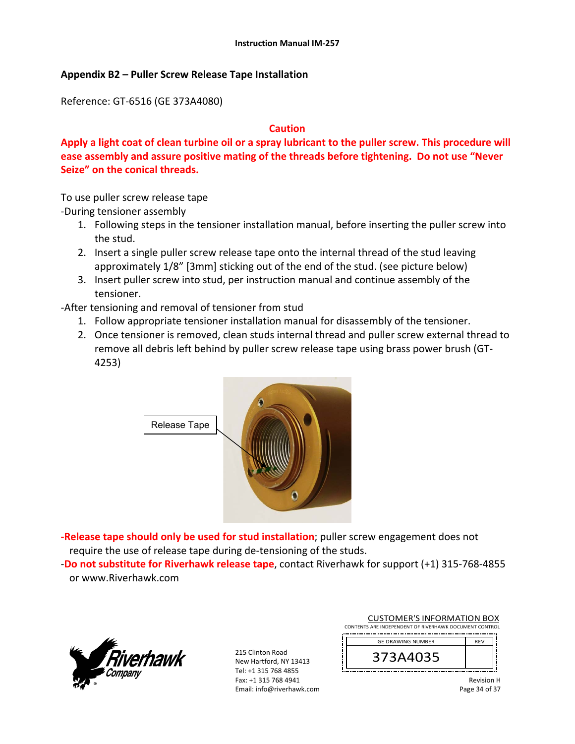#### **Appendix B2 – Puller Screw Release Tape Installation**

Reference: GT‐6516 (GE 373A4080)

#### **Caution**

**Apply a light coat of clean turbine oil or a spray lubricant to the puller screw. This procedure will ease assembly and assure positive mating of the threads before tightening. Do not use "Never Seize" on the conical threads.** 

To use puller screw release tape

‐During tensioner assembly

- 1. Following steps in the tensioner installation manual, before inserting the puller screw into the stud.
- 2. Insert a single puller screw release tape onto the internal thread of the stud leaving approximately 1/8" [3mm] sticking out of the end of the stud. (see picture below)
- 3. Insert puller screw into stud, per instruction manual and continue assembly of the tensioner.
- ‐After tensioning and removal of tensioner from stud
	- 1. Follow appropriate tensioner installation manual for disassembly of the tensioner.
	- 2. Once tensioner is removed, clean studs internal thread and puller screw external thread to remove all debris left behind by puller screw release tape using brass power brush (GT‐ 4253)



**‐Release tape should only be used for stud installation**; puller screw engagement does not require the use of release tape during de‐tensioning of the studs.

‐**Do not substitute for Riverhawk release tape**, contact Riverhawk for support (+1) 315‐768‐4855 or www.Riverhawk.com



215 Clinton Road New Hartford, NY 13413 Tel: +1 315 768 4855 Fax: +1 315 768 4941 Email: info@riverhawk.com

| <b>CUSTOMER'S INFORMATION BOX</b>                      |            |  |
|--------------------------------------------------------|------------|--|
| CONTENTS ARE INDEPENDENT OF RIVERHAWK DOCUMENT CONTROL |            |  |
| <b>GE DRAWING NUMBER</b>                               | <b>RFV</b> |  |
|                                                        |            |  |

Revision H Page 34 of 37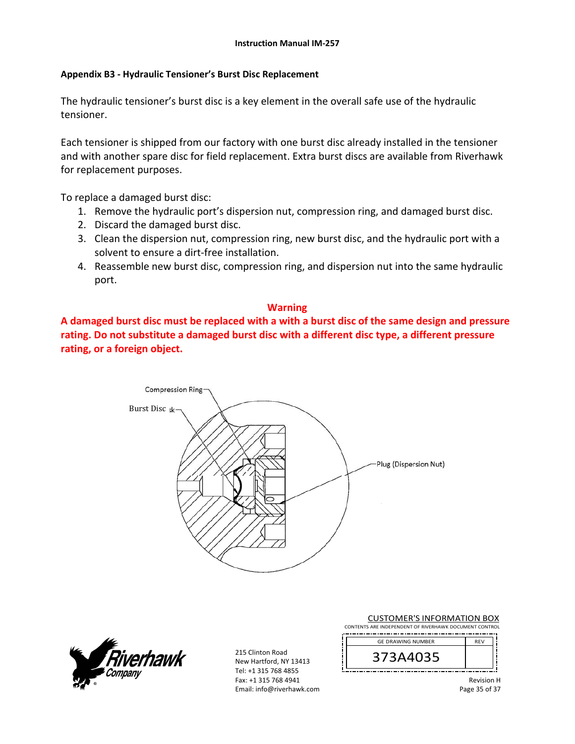#### **Appendix B3 ‐ Hydraulic Tensioner's Burst Disc Replacement**

The hydraulic tensioner's burst disc is a key element in the overall safe use of the hydraulic tensioner.

Each tensioner is shipped from our factory with one burst disc already installed in the tensioner and with another spare disc for field replacement. Extra burst discs are available from Riverhawk for replacement purposes.

To replace a damaged burst disc:

- 1. Remove the hydraulic port's dispersion nut, compression ring, and damaged burst disc.
- 2. Discard the damaged burst disc.
- 3. Clean the dispersion nut, compression ring, new burst disc, and the hydraulic port with a solvent to ensure a dirt‐free installation.
- 4. Reassemble new burst disc, compression ring, and dispersion nut into the same hydraulic port.

#### **Warning**

**A damaged burst disc must be replaced with a with a burst disc of the same design and pressure rating. Do not substitute a damaged burst disc with a different disc type, a different pressure rating, or a foreign object.**





215 Clinton Road New Hartford, NY 13413 Tel: +1 315 768 4855 Fax: +1 315 768 4941 Email: info@riverhawk.com CUSTOMER'S INFORMATION BOX

CONTENTS ARE INDEPENDENT OF RIVERHAWK DOCUMENT CONTROL REV 373A4035 GE DRAWING NUMBER

> Revision H Page 35 of 37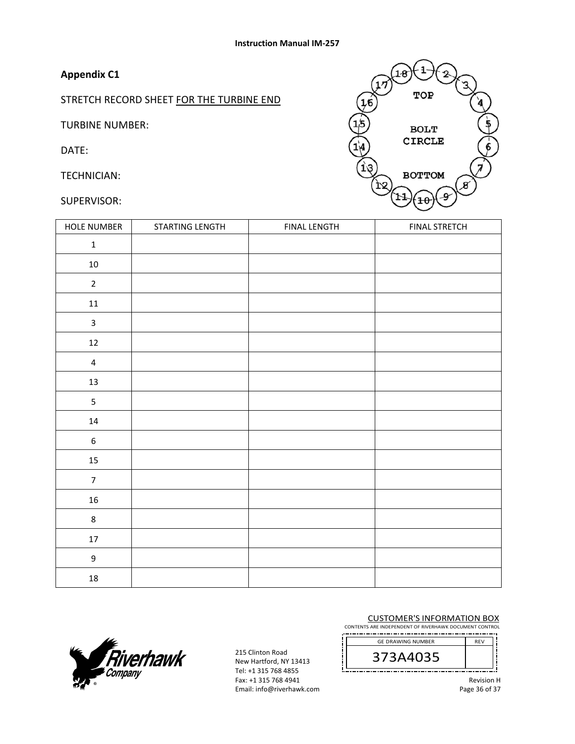# **Appendix C1**

STRETCH RECORD SHEET FOR THE TURBINE END

TURBINE NUMBER:

DATE:

TECHNICIAN:

SUPERVISOR:



| HOLE NUMBER      | STARTING LENGTH | <b>FINAL LENGTH</b> | <b>FINAL STRETCH</b> |
|------------------|-----------------|---------------------|----------------------|
| $\mathbf 1$      |                 |                     |                      |
| $10\,$           |                 |                     |                      |
| $\overline{2}$   |                 |                     |                      |
| ${\bf 11}$       |                 |                     |                      |
| $\mathbf{3}$     |                 |                     |                      |
| $12\,$           |                 |                     |                      |
| $\overline{4}$   |                 |                     |                      |
| $13\,$           |                 |                     |                      |
| 5                |                 |                     |                      |
| $14\,$           |                 |                     |                      |
| $\boldsymbol{6}$ |                 |                     |                      |
| 15               |                 |                     |                      |
| $\overline{7}$   |                 |                     |                      |
| 16               |                 |                     |                      |
| $\bf 8$          |                 |                     |                      |
| $17\,$           |                 |                     |                      |
| $\mathsf g$      |                 |                     |                      |
| $18\,$           |                 |                     |                      |

#### CUSTOMER'S INFORMATION BOX

CONTENTS ARE INDEPENDENT OF RIVERHAWK DOCUMENT CONTROL \_\_\_\_\_\_\_\_\_\_\_\_\_\_\_\_\_\_\_\_\_\_

373A4035 GE DRAWING NUMBER



215 Clinton Road New Hartford, NY 13413 Tel: +1 315 768 4855 Fax: +1 315 768 4941 Email: info@riverhawk.com

Revision H

Page 36 of 37

REV